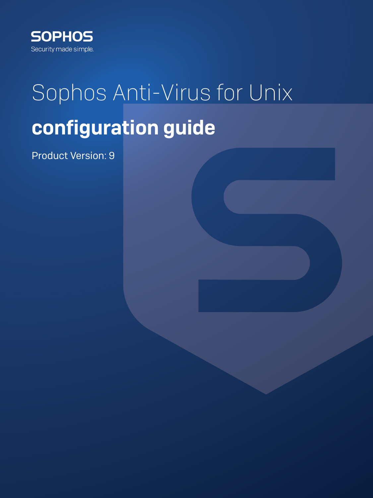

# Sophos Anti-Virus for Unix configuration guide

Product Version: 9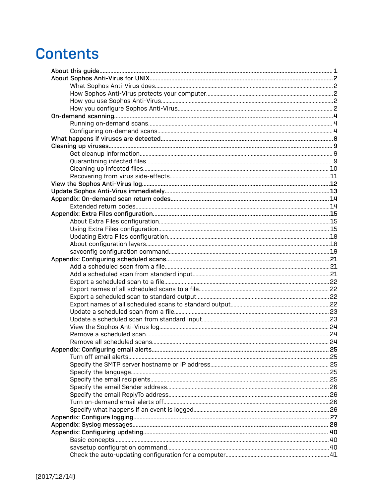# **Contents**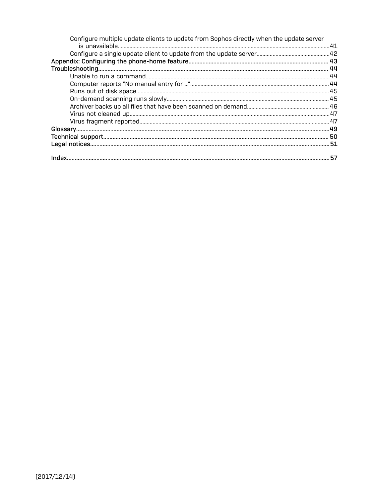| Configure multiple update clients to update from Sophos directly when the update server |  |
|-----------------------------------------------------------------------------------------|--|
|                                                                                         |  |
|                                                                                         |  |
|                                                                                         |  |
|                                                                                         |  |
|                                                                                         |  |
|                                                                                         |  |
|                                                                                         |  |
|                                                                                         |  |
|                                                                                         |  |
|                                                                                         |  |
|                                                                                         |  |
|                                                                                         |  |
|                                                                                         |  |
|                                                                                         |  |
|                                                                                         |  |
|                                                                                         |  |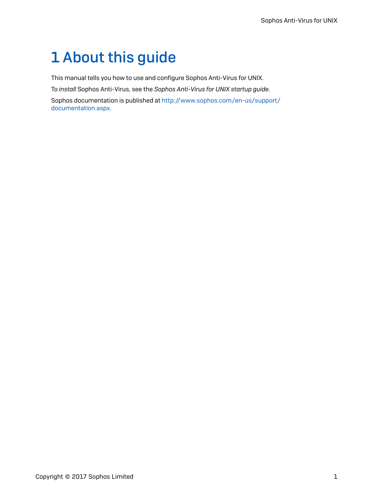# <span id="page-3-0"></span>1 About this guide

This manual tells you how to use and configure Sophos Anti-Virus for UNIX.

To *install* Sophos Anti-Virus, see the *Sophos Anti-Virus for UNIX startup guide*.

Sophos documentation is published at [http://www.sophos.com/en-us/support/](http://www.sophos.com/en-us/support/documentation.aspx) [documentation.aspx](http://www.sophos.com/en-us/support/documentation.aspx).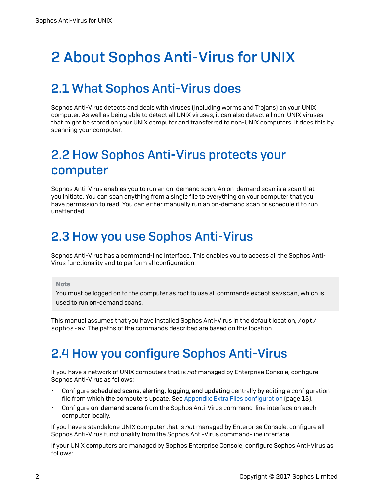# <span id="page-4-0"></span>2 About Sophos Anti-Virus for UNIX

# <span id="page-4-1"></span>2.1 What Sophos Anti-Virus does

Sophos Anti-Virus detects and deals with viruses (including worms and Trojans) on your UNIX computer. As well as being able to detect all UNIX viruses, it can also detect all non-UNIX viruses that might be stored on your UNIX computer and transferred to non-UNIX computers. It does this by scanning your computer.

# <span id="page-4-2"></span>2.2 How Sophos Anti-Virus protects your computer

Sophos Anti-Virus enables you to run an on-demand scan. An on-demand scan is a scan that you initiate. You can scan anything from a single file to everything on your computer that you have permission to read. You can either manually run an on-demand scan or schedule it to run unattended.

# <span id="page-4-3"></span>2.3 How you use Sophos Anti-Virus

Sophos Anti-Virus has a command-line interface. This enables you to access all the Sophos Anti-Virus functionality and to perform all configuration.

### Note

You must be logged on to the computer as root to use all commands except savscan, which is used to run on-demand scans.

This manual assumes that you have installed Sophos Anti-Virus in the default location, /opt/ sophos-av. The paths of the commands described are based on this location.

# <span id="page-4-4"></span>2.4 How you configure Sophos Anti-Virus

If you have a network of UNIX computers that is *not* managed by Enterprise Console, configure Sophos Anti-Virus as follows:

- Configure scheduled scans, alerting, logging, and updating centrally by editing a configuration file from which the computers update. See Appendix: Extra Files [configuration](#page-17-0) (page 15).
- Configure on-demand scans from the Sophos Anti-Virus command-line interface on each computer locally.

If you have a standalone UNIX computer that is *not* managed by Enterprise Console, configure all Sophos Anti-Virus functionality from the Sophos Anti-Virus command-line interface.

If your UNIX computers are managed by Sophos Enterprise Console, configure Sophos Anti-Virus as follows: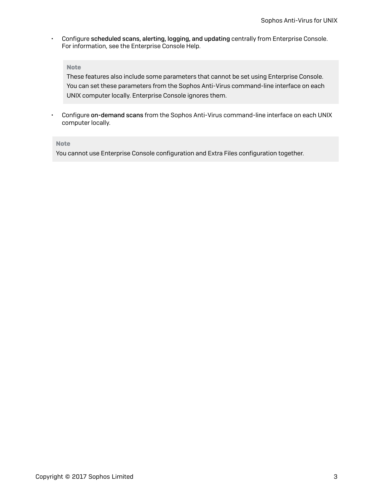• Configure scheduled scans, alerting, logging, and updating centrally from Enterprise Console. For information, see the Enterprise Console Help.

### Note

These features also include some parameters that cannot be set using Enterprise Console. You can set these parameters from the Sophos Anti-Virus command-line interface on each UNIX computer locally. Enterprise Console ignores them.

• Configure on-demand scans from the Sophos Anti-Virus command-line interface on each UNIX computer locally.

#### Note

You cannot use Enterprise Console configuration and Extra Files configuration together.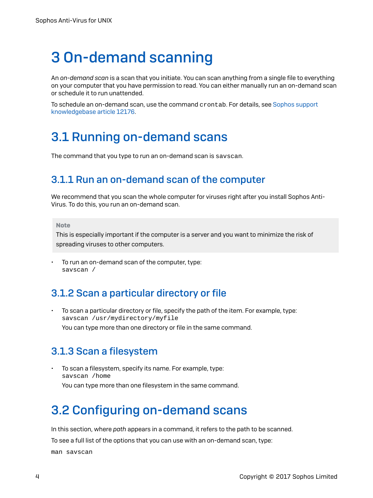# <span id="page-6-0"></span>3 On-demand scanning

An *on-demand scan* is a scan that you initiate. You can scan anything from a single file to everything on your computer that you have permission to read. You can either manually run an on-demand scan or schedule it to run unattended.

To schedule an on-demand scan, use the command crontab. For details, see [Sophos support](http://www.sophos.com/support/knowledgebase/article/12176.html) [knowledgebase](http://www.sophos.com/support/knowledgebase/article/12176.html) article 12176.

## <span id="page-6-1"></span>3.1 Running on-demand scans

The command that you type to run an on-demand scan is savscan.

## 3.1.1 Run an on-demand scan of the computer

We recommend that you scan the whole computer for viruses right after you install Sophos Anti-Virus. To do this, you run an on-demand scan.

Note

This is especially important if the computer is a server and you want to minimize the risk of spreading viruses to other computers.

To run an on-demand scan of the computer, type: savscan /

## <span id="page-6-3"></span>3.1.2 Scan a particular directory or file

• To scan a particular directory or file, specify the path of the item. For example, type: savscan /usr/mydirectory/myfile You can type more than one directory or file in the same command.

## <span id="page-6-4"></span>3.1.3 Scan a filesystem

• To scan a filesystem, specify its name. For example, type: savscan /home You can type more than one filesystem in the same command.

# <span id="page-6-2"></span>3.2 Configuring on-demand scans

In this section, where *path* appears in a command, it refers to the path to be scanned.

To see a full list of the options that you can use with an on-demand scan, type:

man savscan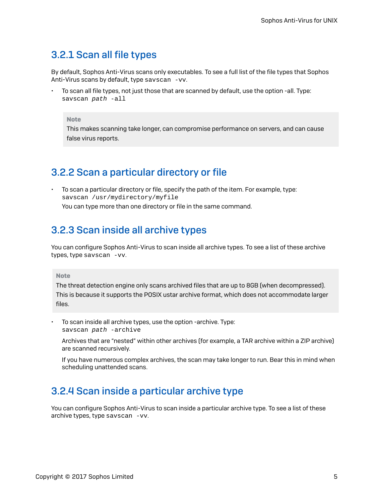## <span id="page-7-3"></span>3.2.1 Scan all file types

By default, Sophos Anti-Virus scans only executables. To see a full list of the file types that Sophos Anti-Virus scans by default, type sayscan -vv.

• To scan all file types, not just those that are scanned by default, use the option -all. Type: savscan path -all

#### Note

This makes scanning take longer, can compromise performance on servers, and can cause false virus reports.

## <span id="page-7-2"></span>3.2.2 Scan a particular directory or file

• To scan a particular directory or file, specify the path of the item. For example, type: savscan /usr/mydirectory/myfile You can type more than one directory or file in the same command.

## <span id="page-7-0"></span>3.2.3 Scan inside all archive types

You can configure Sophos Anti-Virus to scan inside all archive types. To see a list of these archive types, type savscan -vv.

### Note

The threat detection engine only scans archived files that are up to 8GB (when decompressed). This is because it supports the POSIX ustar archive format, which does not accommodate larger files.

• To scan inside all archive types, use the option -archive. Type: savscan path -archive

Archives that are "nested" within other archives (for example, a TAR archive within a ZIP archive) are scanned recursively.

If you have numerous complex archives, the scan may take longer to run. Bear this in mind when scheduling unattended scans.

## <span id="page-7-1"></span>3.2.4 Scan inside a particular archive type

You can configure Sophos Anti-Virus to scan inside a particular archive type. To see a list of these archive types, type savscan -vv.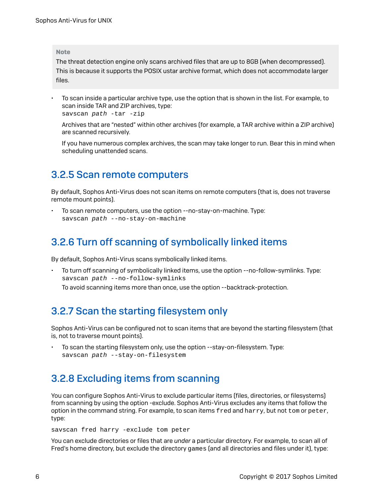#### Note

The threat detection engine only scans archived files that are up to 8GB (when decompressed). This is because it supports the POSIX ustar archive format, which does not accommodate larger files.

• To scan inside a particular archive type, use the option that is shown in the list. For example, to scan inside TAR and ZIP archives, type:

```
savscan path -tar -zip
```
Archives that are "nested" within other archives (for example, a TAR archive within a ZIP archive) are scanned recursively.

If you have numerous complex archives, the scan may take longer to run. Bear this in mind when scheduling unattended scans.

## <span id="page-8-2"></span>3.2.5 Scan remote computers

By default, Sophos Anti-Virus does not scan items on remote computers (that is, does not traverse remote mount points).

• To scan remote computers, use the option --no-stay-on-machine. Type: savscan path --no-stay-on-machine

## <span id="page-8-3"></span>3.2.6 Turn off scanning of symbolically linked items

By default, Sophos Anti-Virus scans symbolically linked items.

• To turn off scanning of symbolically linked items, use the option --no-follow-symlinks. Type: savscan path --no-follow-symlinks To avoid scanning items more than once, use the option --backtrack-protection.

## <span id="page-8-1"></span>3.2.7 Scan the starting filesystem only

Sophos Anti-Virus can be configured not to scan items that are beyond the starting filesystem (that is, not to traverse mount points).

• To scan the starting filesystem only, use the option --stay-on-filesystem. Type: savscan path --stay-on-filesystem

## <span id="page-8-0"></span>3.2.8 Excluding items from scanning

You can configure Sophos Anti-Virus to exclude particular items (files, directories, or filesystems) from scanning by using the option -exclude. Sophos Anti-Virus excludes any items that follow the option in the command string. For example, to scan items fred and harry, but not tom or peter, type:

savscan fred harry -exclude tom peter

You can exclude directories or files that are *under* a particular directory. For example, to scan all of Fred's home directory, but exclude the directory games (and all directories and files under it), type: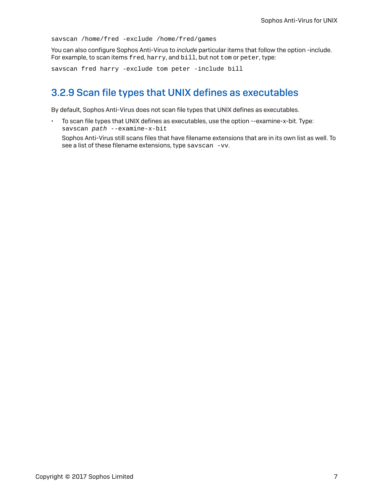savscan /home/fred -exclude /home/fred/games

You can also configure Sophos Anti-Virus to *include* particular items that follow the option -include. For example, to scan items fred, harry, and bill, but not tom or peter, type:

savscan fred harry -exclude tom peter -include bill

## <span id="page-9-0"></span>3.2.9 Scan file types that UNIX defines as executables

By default, Sophos Anti-Virus does not scan file types that UNIX defines as executables.

• To scan file types that UNIX defines as executables, use the option --examine-x-bit. Type: savscan path --examine-x-bit Sophos Anti-Virus still scans files that have filename extensions that are in its own list as well. To see a list of these filename extensions, type savscan -vv.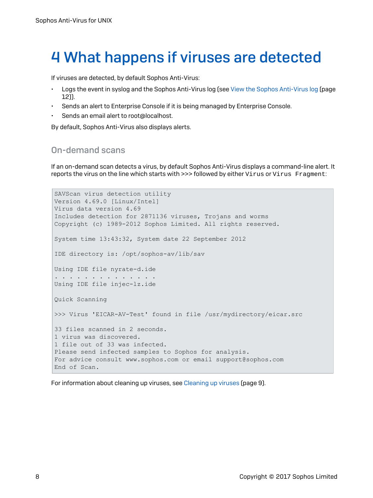# <span id="page-10-0"></span>4 What happens if viruses are detected

If viruses are detected, by default Sophos Anti-Virus:

- Logs the event in syslog and the Sophos Anti-Virus log (see View the Sophos [Anti-Virus](#page-14-0) log (page 12)).
- Sends an alert to Enterprise Console if it is being managed by Enterprise Console.
- Sends an email alert to root@localhost.

By default, Sophos Anti-Virus also displays alerts.

### On-demand scans

If an on-demand scan detects a virus, by default Sophos Anti-Virus displays a command-line alert. It reports the virus on the line which starts with >>> followed by either Virus or Virus Fragment:

```
SAVScan virus detection utility
Version 4.69.0 [Linux/Intel]
Virus data version 4.69
Includes detection for 2871136 viruses, Trojans and worms
Copyright (c) 1989-2012 Sophos Limited. All rights reserved.
System time 13:43:32, System date 22 September 2012
IDE directory is: /opt/sophos-av/lib/sav
Using IDE file nyrate-d.ide
. . . . . . . . . . . . . .
Using IDE file injec-lz.ide
Quick Scanning
>>> Virus 'EICAR-AV-Test' found in file /usr/mydirectory/eicar.src
33 files scanned in 2 seconds.
1 virus was discovered.
1 file out of 33 was infected.
Please send infected samples to Sophos for analysis.
For advice consult www.sophos.com or email support@sophos.com
End of Scan.
```
For information about cleaning up viruses, see [Cleaning up viruses](#page-11-0) (page 9).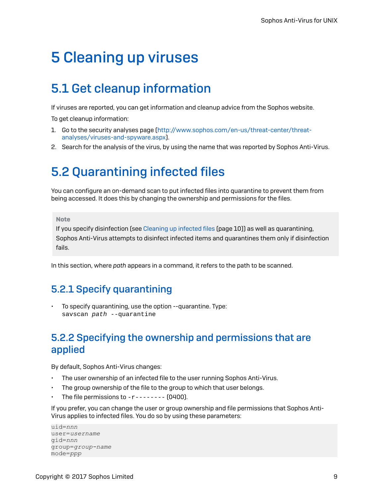# <span id="page-11-0"></span>5 Cleaning up viruses

# <span id="page-11-1"></span>5.1 Get cleanup information

If viruses are reported, you can get information and cleanup advice from the Sophos website.

To get cleanup information:

- 1. Go to the security analyses page [\(http://www.sophos.com/en-us/threat-center/threat](http://www.sophos.com/en-us/threat-center/threat-analyses/viruses-and-spyware.aspx)[analyses/viruses-and-spyware.aspx](http://www.sophos.com/en-us/threat-center/threat-analyses/viruses-and-spyware.aspx)).
- 2. Search for the analysis of the virus, by using the name that was reported by Sophos Anti-Virus.

## <span id="page-11-2"></span>5.2 Quarantining infected files

You can configure an on-demand scan to put infected files into quarantine to prevent them from being accessed. It does this by changing the ownership and permissions for the files.

#### Note

If you specify disinfection (see [Cleaning](#page-12-0) up infected files (page 10)) as well as quarantining, Sophos Anti-Virus attempts to disinfect infected items and quarantines them only if disinfection fails.

In this section, where *path* appears in a command, it refers to the path to be scanned.

## 5.2.1 Specify quarantining

• To specify quarantining, use the option --quarantine. Type: savscan path --quarantine

## 5.2.2 Specifying the ownership and permissions that are applied

By default, Sophos Anti-Virus changes:

- The user ownership of an infected file to the user running Sophos Anti-Virus.
- The group ownership of the file to the group to which that user belongs.
- The file permissions to  $-r$ -------- (0400).

If you prefer, you can change the user or group ownership and file permissions that Sophos Anti-Virus applies to infected files. You do so by using these parameters:

```
uid=nnn
user=username
gid=nnn
group=group-name
mode=ppp
```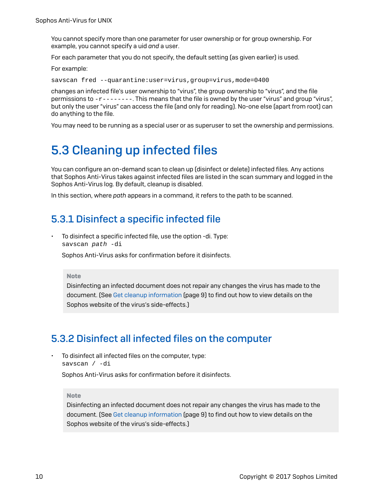You cannot specify more than one parameter for user ownership or for group ownership. For example, you cannot specify a uid *and* a user.

For each parameter that you do not specify, the default setting (as given earlier) is used.

For example:

savscan fred --quarantine:user=virus,group=virus,mode=0400

changes an infected file's user ownership to "virus", the group ownership to "virus", and the file permissions to -r--------. This means that the file is owned by the user "virus" and group "virus", but only the user "virus" can access the file (and only for reading). No-one else (apart from root) can do anything to the file.

You may need to be running as a special user or as superuser to set the ownership and permissions.

# <span id="page-12-0"></span>5.3 Cleaning up infected files

You can configure an on-demand scan to clean up (disinfect or delete) infected files. Any actions that Sophos Anti-Virus takes against infected files are listed in the scan summary and logged in the Sophos Anti-Virus log. By default, cleanup is disabled.

In this section, where *path* appears in a command, it refers to the path to be scanned.

## <span id="page-12-1"></span>5.3.1 Disinfect a specific infected file

• To disinfect a specific infected file, use the option -di. Type: savscan path -di

Sophos Anti-Virus asks for confirmation before it disinfects.

#### Note

Disinfecting an infected document does not repair any changes the virus has made to the document. (See Get cleanup [information](#page-11-1) (page 9) to find out how to view details on the Sophos website of the virus's side-effects.)

## <span id="page-12-2"></span>5.3.2 Disinfect all infected files on the computer

• To disinfect all infected files on the computer, type: savscan / -di

Sophos Anti-Virus asks for confirmation before it disinfects.

#### Note

Disinfecting an infected document does not repair any changes the virus has made to the document. (See Get cleanup [information](#page-11-1) (page 9) to find out how to view details on the Sophos website of the virus's side-effects.)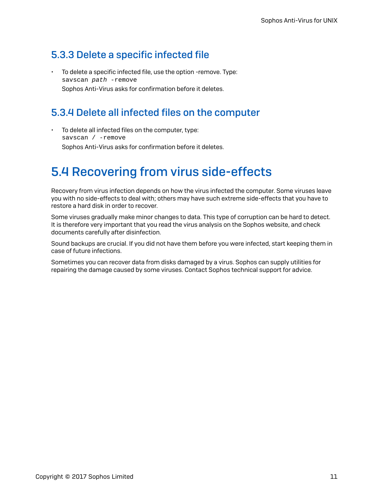## <span id="page-13-1"></span>5.3.3 Delete a specific infected file

• To delete a specific infected file, use the option -remove. Type: savscan path -remove Sophos Anti-Virus asks for confirmation before it deletes.

## <span id="page-13-2"></span>5.3.4 Delete all infected files on the computer

• To delete all infected files on the computer, type: savscan / -remove Sophos Anti-Virus asks for confirmation before it deletes.

# <span id="page-13-0"></span>5.4 Recovering from virus side-effects

Recovery from virus infection depends on how the virus infected the computer. Some viruses leave you with no side-effects to deal with; others may have such extreme side-effects that you have to restore a hard disk in order to recover.

Some viruses gradually make minor changes to data. This type of corruption can be hard to detect. It is therefore very important that you read the virus analysis on the Sophos website, and check documents carefully after disinfection.

Sound backups are crucial. If you did not have them before you were infected, start keeping them in case of future infections.

Sometimes you can recover data from disks damaged by a virus. Sophos can supply utilities for repairing the damage caused by some viruses. Contact Sophos technical support for advice.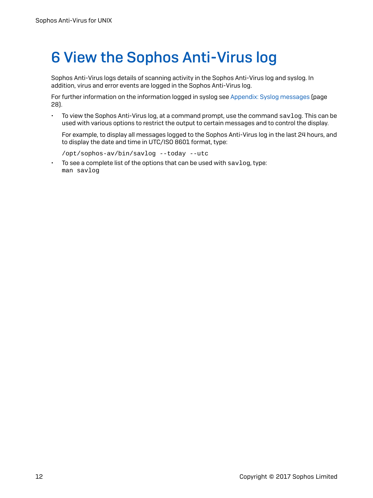# <span id="page-14-0"></span>6 View the Sophos Anti-Virus log

Sophos Anti-Virus logs details of scanning activity in the Sophos Anti-Virus log and syslog. In addition, virus and error events are logged in the Sophos Anti-Virus log.

For further information on the information logged in syslog see Appendix: Syslog [messages](#page-30-0) (page 28).

• To view the Sophos Anti-Virus log, at a command prompt, use the command  $savlog$ . This can be used with various options to restrict the output to certain messages and to control the display.

For example, to display all messages logged to the Sophos Anti-Virus log in the last 24 hours, and to display the date and time in UTC/ISO 8601 format, type:

```
/opt/sophos-av/bin/savlog --today --utc
```
• To see a complete list of the options that can be used with savlog, type: man savlog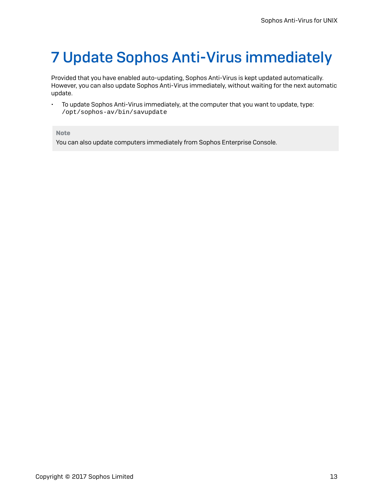# <span id="page-15-0"></span>7 Update Sophos Anti-Virus immediately

Provided that you have enabled auto-updating, Sophos Anti-Virus is kept updated automatically. However, you can also update Sophos Anti-Virus immediately, without waiting for the next automatic update.

• To update Sophos Anti-Virus immediately, at the computer that you want to update, type: /opt/sophos-av/bin/savupdate

Note

You can also update computers immediately from Sophos Enterprise Console.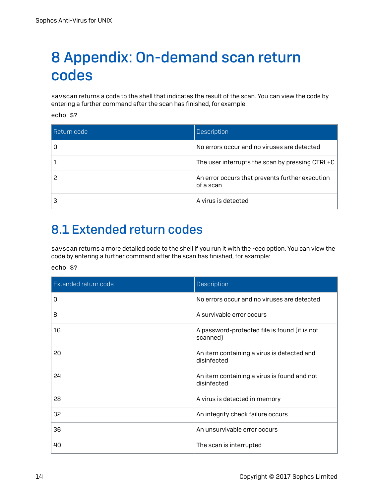# <span id="page-16-0"></span>8 Appendix: On-demand scan return codes

savscan returns a code to the shell that indicates the result of the scan. You can view the code by entering a further command after the scan has finished, for example:

echo \$?

| l Return code | Description                                                  |
|---------------|--------------------------------------------------------------|
|               | No errors occur and no viruses are detected                  |
|               | The user interrupts the scan by pressing CTRL+C              |
|               | An error occurs that prevents further execution<br>of a scan |
|               | A virus is detected                                          |

# <span id="page-16-1"></span>8.1 Extended return codes

savscan returns a more detailed code to the shell if you run it with the -eec option. You can view the code by entering a further command after the scan has finished, for example:

echo \$?

| Extended return code | Description                                                |
|----------------------|------------------------------------------------------------|
| 0                    | No errors occur and no viruses are detected                |
| 8                    | A survivable error occurs                                  |
| 16                   | A password-protected file is found (it is not<br>scanned)  |
| 20                   | An item containing a virus is detected and<br>disinfected  |
| 24                   | An item containing a virus is found and not<br>disinfected |
| 28                   | A virus is detected in memory                              |
| 32                   | An integrity check failure occurs                          |
| 36                   | An unsurvivable error occurs                               |
| 40                   | The scan is interrupted                                    |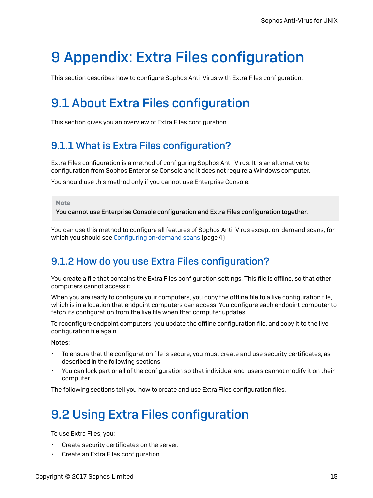# <span id="page-17-0"></span>9 Appendix: Extra Files configuration

This section describes how to configure Sophos Anti-Virus with Extra Files configuration.

# <span id="page-17-1"></span>9.1 About Extra Files configuration

This section gives you an overview of Extra Files configuration.

## 9.1.1 What is Extra Files configuration?

Extra Files configuration is a method of configuring Sophos Anti-Virus. It is an alternative to configuration from Sophos Enterprise Console and it does not require a Windows computer.

You should use this method only if you cannot use Enterprise Console.

#### Note

You cannot use Enterprise Console configuration and Extra Files configuration together.

You can use this method to configure all features of Sophos Anti-Virus except on-demand scans, for which you should see Configuring [on-demand](#page-6-2) scans (page 4)

## 9.1.2 How do you use Extra Files configuration?

You create a file that contains the Extra Files configuration settings. This file is offline, so that other computers cannot access it.

When you are ready to configure your computers, you copy the offline file to a live configuration file, which is in a location that endpoint computers can access. You configure each endpoint computer to fetch its configuration from the live file when that computer updates.

To reconfigure endpoint computers, you update the offline configuration file, and copy it to the live configuration file again.

### Notes:

- To ensure that the configuration file is secure, you must create and use security certificates, as described in the following sections.
- You can lock part or all of the configuration so that individual end-users cannot modify it on their computer.

The following sections tell you how to create and use Extra Files configuration files.

# <span id="page-17-2"></span>9.2 Using Extra Files configuration

To use Extra Files, you:

- Create security certificates on the server.
- Create an Extra Files configuration.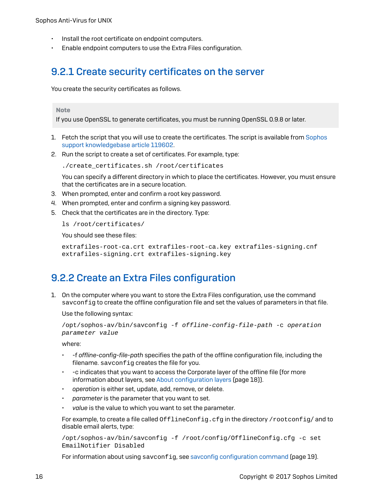- Install the root certificate on endpoint computers.
- Enable endpoint computers to use the Extra Files configuration.

## 9.2.1 Create security certificates on the server

You create the security certificates as follows.

#### **Note**

If you use OpenSSL to generate certificates, you must be running OpenSSL 0.9.8 or later.

- 1. Fetch the script that you will use to create the certificates. The script is available from [Sophos](http://www.sophos.com/en-us/support/knowledgebase/119602.aspx) support [knowledgebase](http://www.sophos.com/en-us/support/knowledgebase/119602.aspx) article 119602.
- 2. Run the script to create a set of certificates. For example, type:

./create certificates.sh /root/certificates

You can specify a different directory in which to place the certificates. However, you must ensure that the certificates are in a secure location.

- 3. When prompted, enter and confirm a root key password.
- 4. When prompted, enter and confirm a signing key password.
- 5. Check that the certificates are in the directory. Type:

ls /root/certificates/

You should see these files:

extrafiles-root-ca.crt extrafiles-root-ca.key extrafiles-signing.cnf extrafiles-signing.crt extrafiles-signing.key

## 9.2.2 Create an Extra Files configuration

1. On the computer where you want to store the Extra Files configuration, use the command savconfig to create the offline configuration file and set the values of parameters in that file.

Use the following syntax:

```
/opt/sophos-av/bin/savconfig -f offline-config-file-path -c operation
parameter value
```
where:

- -f *offline-config-file-path* specifies the path of the offline configuration file, including the filename. savconfig creates the file for you.
- -c indicates that you want to access the Corporate layer of the offline file (for more information about layers, see About [configuration](#page-20-1) layers (page 18)).
- *operation* is either set, update, add, remove, or delete.
- *parameter* is the parameter that you want to set.
- *value* is the value to which you want to set the parameter.

For example, to create a file called OfflineConfig.cfg in the directory /rootconfig/ and to disable email alerts, type:

```
/opt/sophos-av/bin/savconfig -f /root/config/OfflineConfig.cfg -c set
EmailNotifier Disabled
```
For information about using savconfig, see savconfig [configuration](#page-21-0) command (page 19).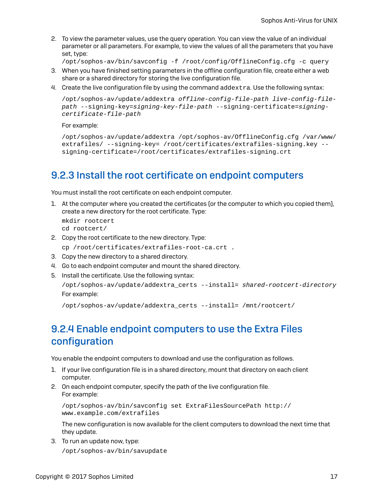2. To view the parameter values, use the query operation. You can view the value of an individual parameter or all parameters. For example, to view the values of all the parameters that you have set, type:

```
/opt/sophos-av/bin/savconfig -f /root/config/OfflineConfig.cfg -c query
```
- 3. When you have finished setting parameters in the offline configuration file, create either a web share or a shared directory for storing the live configuration file.
- 4. Create the live configuration file by using the command addextra. Use the following syntax:

```
/opt/sophos-av/update/addextra offline-config-file-path live-config-file-
path --signing-key=signing-key-file-path --signing-certificate=signing-
certificate-file-path
```
For example:

```
/opt/sophos-av/update/addextra /opt/sophos-av/OfflineConfig.cfg /var/www/
extrafiles/ --signing-key= /root/certificates/extrafiles-signing.key --
signing-certificate=/root/certificates/extrafiles-signing.crt
```
## 9.2.3 Install the root certificate on endpoint computers

You must install the root certificate on each endpoint computer.

1. At the computer where you created the certificates (or the computer to which you copied them), create a new directory for the root certificate. Type:

```
mkdir rootcert
cd rootcert/
```
- 2. Copy the root certificate to the new directory. Type:
- cp /root/certificates/extrafiles-root-ca.crt .
- 3. Copy the new directory to a shared directory.
- 4. Go to each endpoint computer and mount the shared directory.
- 5. Install the certificate. Use the following syntax:

```
/opt/sophos-av/update/addextra_certs --install= shared-rootcert-directory
For example:
```
/opt/sophos-av/update/addextra\_certs --install= /mnt/rootcert/

## 9.2.4 Enable endpoint computers to use the Extra Files configuration

You enable the endpoint computers to download and use the configuration as follows.

- 1. If your live configuration file is in a shared directory, mount that directory on each client computer.
- 2. On each endpoint computer, specify the path of the live configuration file. For example:

/opt/sophos-av/bin/savconfig set ExtraFilesSourcePath http:// www.example.com/extrafiles

The new configuration is now available for the client computers to download the next time that they update.

3. To run an update now, type:

/opt/sophos-av/bin/savupdate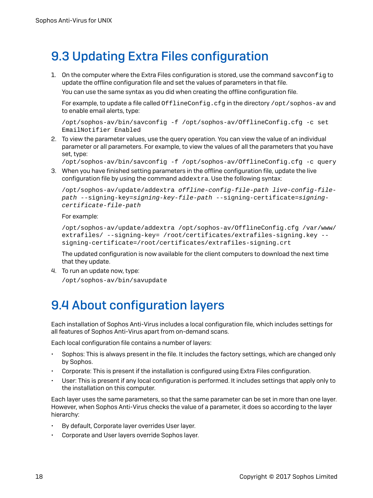# <span id="page-20-0"></span>9.3 Updating Extra Files configuration

1. On the computer where the Extra Files configuration is stored, use the command savconfig to update the offline configuration file and set the values of parameters in that file.

You can use the same syntax as you did when creating the offline configuration file.

For example, to update a file called OfflineConfig.cfg in the directory /opt/sophos-ay and to enable email alerts, type:

/opt/sophos-av/bin/savconfig -f /opt/sophos-av/OfflineConfig.cfg -c set EmailNotifier Enabled

2. To view the parameter values, use the query operation. You can view the value of an individual parameter or all parameters. For example, to view the values of all the parameters that you have set, type:

/opt/sophos-av/bin/savconfig -f /opt/sophos-av/OfflineConfig.cfg -c query

3. When you have finished setting parameters in the offline configuration file, update the live configuration file by using the command addextra. Use the following syntax:

```
/opt/sophos-av/update/addextra offline-config-file-path live-config-file-
path --signing-key=signing-key-file-path --signing-certificate=signing-
certificate-file-path
```
For example:

```
/opt/sophos-av/update/addextra /opt/sophos-av/OfflineConfig.cfg /var/www/
extrafiles/ --signing-key= /root/certificates/extrafiles-signing.key --
signing-certificate=/root/certificates/extrafiles-signing.crt
```
The updated configuration is now available for the client computers to download the next time that they update.

4. To run an update now, type:

/opt/sophos-av/bin/savupdate

# <span id="page-20-1"></span>9.4 About configuration layers

Each installation of Sophos Anti-Virus includes a local configuration file, which includes settings for all features of Sophos Anti-Virus apart from on-demand scans.

Each local configuration file contains a number of layers:

- Sophos: This is always present in the file. It includes the factory settings, which are changed only by Sophos.
- Corporate: This is present if the installation is configured using Extra Files configuration.
- User: This is present if any local configuration is performed. It includes settings that apply only to the installation on this computer.

Each layer uses the same parameters, so that the same parameter can be set in more than one layer. However, when Sophos Anti-Virus checks the value of a parameter, it does so according to the layer hierarchy:

- By default, Corporate layer overrides User layer.
- Corporate and User layers override Sophos layer.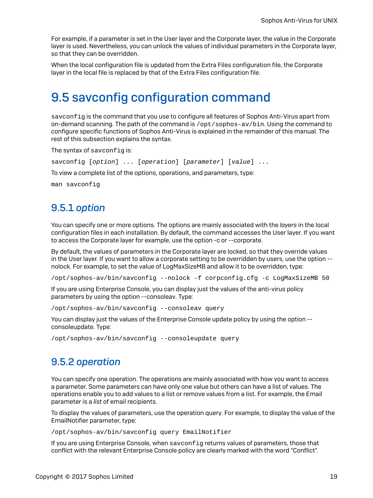For example, if a parameter is set in the User layer and the Corporate layer, the value in the Corporate layer is used. Nevertheless, you can unlock the values of individual parameters in the Corporate layer, so that they can be overridden.

When the local configuration file is updated from the Extra Files configuration file, the Corporate layer in the local file is replaced by that of the Extra Files configuration file.

## <span id="page-21-0"></span>9.5 savconfig configuration command

sayconfig is the command that you use to configure all features of Sophos Anti-Virus apart from on-demand scanning. The path of the command is /opt/sophos-av/bin. Using the command to configure specific functions of Sophos Anti-Virus is explained in the remainder of this manual. The rest of this subsection explains the syntax.

The syntax of savconfig is:

savconfig [option] ... [operation] [parameter] [value] ...

To view a complete list of the options, operations, and parameters, type:

man savconfig

## 9.5.1 *option*

You can specify one or more options. The options are mainly associated with the *layers* in the local configuration files in each installation. By default, the command accesses the User layer. If you want to access the Corporate layer for example, use the option -c or --corporate.

By default, the values of parameters in the Corporate layer are locked, so that they override values in the User layer. If you want to allow a corporate setting to be overridden by users, use the option - nolock. For example, to set the value of LogMaxSizeMB and allow it to be overridden, type:

/opt/sophos-av/bin/savconfig --nolock -f corpconfig.cfg -c LogMaxSizeMB 50

If you are using Enterprise Console, you can display just the values of the anti-virus policy parameters by using the option --consoleav. Type:

/opt/sophos-av/bin/savconfig --consoleav query

You can display just the values of the Enterprise Console update policy by using the option - consoleupdate. Type:

/opt/sophos-av/bin/savconfig --consoleupdate query

### 9.5.2 *operation*

You can specify one operation. The operations are mainly associated with how you want to access a parameter. Some parameters can have only one value but others can have a list of values. The operations enable you to add values to a list or remove values from a list. For example, the Email parameter is a *list* of email recipients.

To display the values of parameters, use the operation query. For example, to display the value of the EmailNotifier parameter, type:

/opt/sophos-av/bin/savconfig query EmailNotifier

If you are using Enterprise Console, when savconfig returns values of parameters, those that conflict with the relevant Enterprise Console policy are clearly marked with the word "Conflict".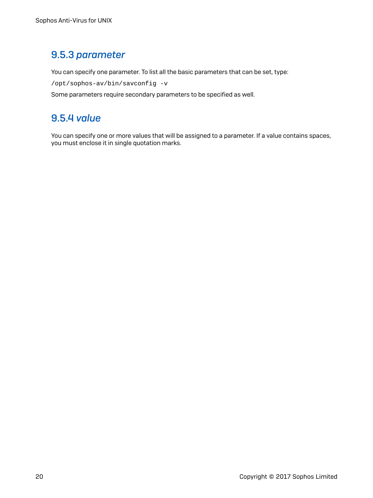## 9.5.3 *parameter*

You can specify one parameter. To list all the basic parameters that can be set, type:

/opt/sophos-av/bin/savconfig -v

Some parameters require secondary parameters to be specified as well.

## 9.5.4 *value*

You can specify one or more values that will be assigned to a parameter. If a value contains spaces, you must enclose it in single quotation marks.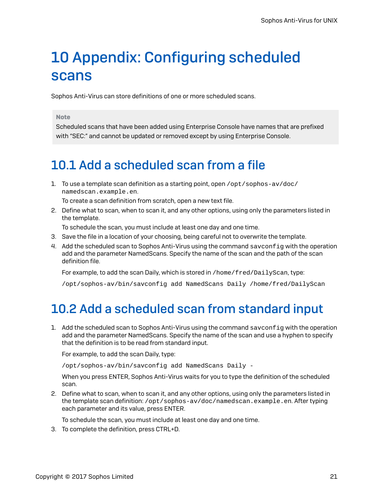# <span id="page-23-0"></span>10 Appendix: Configuring scheduled scans

Sophos Anti-Virus can store definitions of one or more scheduled scans.

#### Note

Scheduled scans that have been added using Enterprise Console have names that are prefixed with "SEC:" and cannot be updated or removed except by using Enterprise Console.

# <span id="page-23-1"></span>10.1 Add a scheduled scan from a file

1. To use a template scan definition as a starting point, open  $\sqrt{\frac{1}{2}}$  sophos-av $\sqrt{\frac{1}{2}}$ namedscan.example.en.

To create a scan definition from scratch, open a new text file.

2. Define what to scan, when to scan it, and any other options, using only the parameters listed in the template.

To schedule the scan, you must include at least one day and one time.

- 3. Save the file in a location of your choosing, being careful not to overwrite the template.
- 4. Add the scheduled scan to Sophos Anti-Virus using the command savconfig with the operation add and the parameter NamedScans. Specify the name of the scan and the path of the scan definition file.

For example, to add the scan Daily, which is stored in /home/fred/DailyScan, type:

/opt/sophos-av/bin/savconfig add NamedScans Daily /home/fred/DailyScan

# <span id="page-23-2"></span>10.2 Add a scheduled scan from standard input

1. Add the scheduled scan to Sophos Anti-Virus using the command savconfig with the operation add and the parameter NamedScans. Specify the name of the scan and use a hyphen to specify that the definition is to be read from standard input.

For example, to add the scan Daily, type:

/opt/sophos-av/bin/savconfig add NamedScans Daily -

When you press ENTER, Sophos Anti-Virus waits for you to type the definition of the scheduled scan.

2. Define what to scan, when to scan it, and any other options, using only the parameters listed in the template scan definition: /opt/sophos-av/doc/namedscan.example.en. After typing each parameter and its value, press ENTER.

To schedule the scan, you must include at least one day and one time.

3. To complete the definition, press CTRL+D.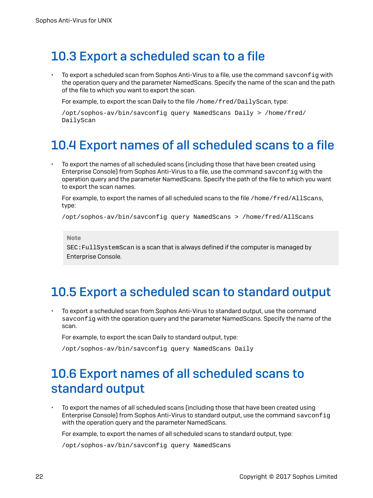# <span id="page-24-0"></span>10.3 Export a scheduled scan to a file

To export a scheduled scan from Sophos Anti-Virus to a file, use the command savconfig with the operation query and the parameter NamedScans. Specify the name of the scan and the path of the file to which you want to export the scan.

For example, to export the scan Daily to the file /home/fred/DailyScan, type:

```
/opt/sophos-av/bin/savconfig query NamedScans Daily > /home/fred/
DailyScan
```
# <span id="page-24-1"></span>10.4 Export names of all scheduled scans to a file

• To export the names of all scheduled scans (including those that have been created using Enterprise Console) from Sophos Anti-Virus to a file, use the command savconfig with the operation query and the parameter NamedScans. Specify the path of the file to which you want to export the scan names.

For example, to export the names of all scheduled scans to the file /home/fred/AllScans, type:

/opt/sophos-av/bin/savconfig query NamedScans > /home/fred/AllScans

Note

SEC:FullSystemScan is a scan that is always defined if the computer is managed by Enterprise Console.

## <span id="page-24-2"></span>10.5 Export a scheduled scan to standard output

• To export a scheduled scan from Sophos Anti-Virus to standard output, use the command savconfig with the operation query and the parameter NamedScans. Specify the name of the scan.

For example, to export the scan Daily to standard output, type:

/opt/sophos-av/bin/savconfig query NamedScans Daily

# <span id="page-24-3"></span>10.6 Export names of all scheduled scans to standard output

• To export the names of all scheduled scans (including those that have been created using Enterprise Console) from Sophos Anti-Virus to standard output, use the command savconfig with the operation query and the parameter NamedScans.

For example, to export the names of all scheduled scans to standard output, type:

/opt/sophos-av/bin/savconfig query NamedScans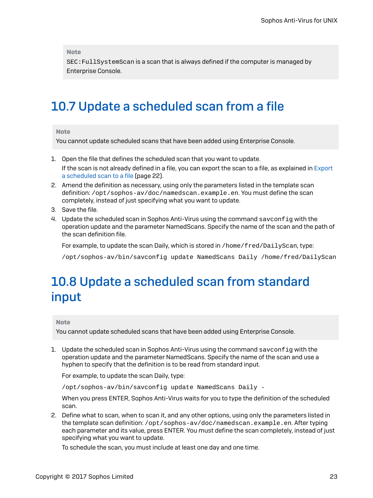Note

SEC:FullSystemScan is a scan that is always defined if the computer is managed by Enterprise Console.

## <span id="page-25-0"></span>10.7 Update a scheduled scan from a file

#### Note

You cannot update scheduled scans that have been added using Enterprise Console.

- 1. Open the file that defines the scheduled scan that you want to update. If the scan is not already defined in a file, you can export the scan to a file, as explained in [Export](#page-24-0) a [scheduled](#page-24-0) scan to a file (page 22).
- 2. Amend the definition as necessary, using only the parameters listed in the template scan definition: /opt/sophos-av/doc/namedscan.example.en. You must define the scan completely, instead of just specifying what you want to update.
- 3. Save the file.
- 4. Update the scheduled scan in Sophos Anti-Virus using the command savconfig with the operation update and the parameter NamedScans. Specify the name of the scan and the path of the scan definition file.

For example, to update the scan Daily, which is stored in /home/fred/DailyScan, type:

/opt/sophos-av/bin/savconfig update NamedScans Daily /home/fred/DailyScan

# <span id="page-25-1"></span>10.8 Update a scheduled scan from standard input

#### Note

You cannot update scheduled scans that have been added using Enterprise Console.

1. Update the scheduled scan in Sophos Anti-Virus using the command savconfig with the operation update and the parameter NamedScans. Specify the name of the scan and use a hyphen to specify that the definition is to be read from standard input.

For example, to update the scan Daily, type:

/opt/sophos-av/bin/savconfig update NamedScans Daily -

When you press ENTER, Sophos Anti-Virus waits for you to type the definition of the scheduled scan.

2. Define what to scan, when to scan it, and any other options, using only the parameters listed in the template scan definition: /opt/sophos-av/doc/namedscan.example.en. After typing each parameter and its value, press ENTER. You must define the scan completely, instead of just specifying what you want to update.

To schedule the scan, you must include at least one day and one time.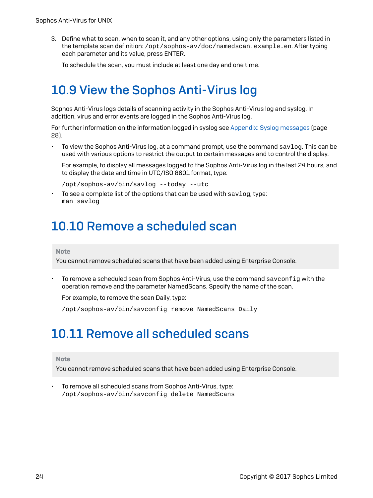3. Define what to scan, when to scan it, and any other options, using only the parameters listed in the template scan definition: /opt/sophos-av/doc/namedscan.example.en. After typing each parameter and its value, press ENTER.

To schedule the scan, you must include at least one day and one time.

# <span id="page-26-0"></span>10.9 View the Sophos Anti-Virus log

Sophos Anti-Virus logs details of scanning activity in the Sophos Anti-Virus log and syslog. In addition, virus and error events are logged in the Sophos Anti-Virus log.

For further information on the information logged in syslog see Appendix: Syslog [messages](#page-30-0) (page 28).

• To view the Sophos Anti-Virus log, at a command prompt, use the command savlog. This can be used with various options to restrict the output to certain messages and to control the display.

For example, to display all messages logged to the Sophos Anti-Virus log in the last 24 hours, and to display the date and time in UTC/ISO 8601 format, type:

/opt/sophos-av/bin/savlog --today --utc

To see a complete list of the options that can be used with  $\texttt{savlog}, \texttt{type}:$ man savlog

## <span id="page-26-1"></span>10.10 Remove a scheduled scan

#### Note

You cannot remove scheduled scans that have been added using Enterprise Console.

To remove a scheduled scan from Sophos Anti-Virus, use the command savconfig with the operation remove and the parameter NamedScans. Specify the name of the scan.

For example, to remove the scan Daily, type:

/opt/sophos-av/bin/savconfig remove NamedScans Daily

## <span id="page-26-2"></span>10.11 Remove all scheduled scans

#### Note

You cannot remove scheduled scans that have been added using Enterprise Console.

• To remove all scheduled scans from Sophos Anti-Virus, type: /opt/sophos-av/bin/savconfig delete NamedScans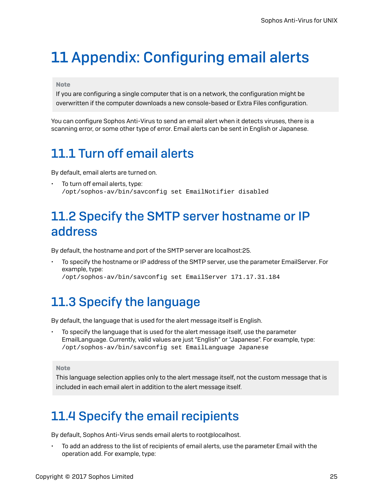# <span id="page-27-0"></span>11 Appendix: Configuring email alerts

### Note

If you are configuring a single computer that is on a network, the configuration might be overwritten if the computer downloads a new console-based or Extra Files configuration.

You can configure Sophos Anti-Virus to send an email alert when it detects viruses, there is a scanning error, or some other type of error. Email alerts can be sent in English or Japanese.

# <span id="page-27-1"></span>11.1 Turn off email alerts

By default, email alerts are turned on.

• To turn off email alerts, type: /opt/sophos-av/bin/savconfig set EmailNotifier disabled

# <span id="page-27-2"></span>11.2 Specify the SMTP server hostname or IP address

By default, the hostname and port of the SMTP server are localhost:25.

• To specify the hostname or IP address of the SMTP server, use the parameter EmailServer. For example, type:

/opt/sophos-av/bin/savconfig set EmailServer 171.17.31.184

# <span id="page-27-3"></span>11.3 Specify the language

By default, the language that is used for the alert message itself is English.

• To specify the language that is used for the alert message itself, use the parameter EmailLanguage. Currently, valid values are just "English" or "Japanese". For example, type: /opt/sophos-av/bin/savconfig set EmailLanguage Japanese

### Note

This language selection applies only to the alert message itself, not the custom message that is included in each email alert in addition to the alert message itself.

# <span id="page-27-4"></span>11.4 Specify the email recipients

By default, Sophos Anti-Virus sends email alerts to root@localhost.

• To add an address to the list of recipients of email alerts, use the parameter Email with the operation add. For example, type: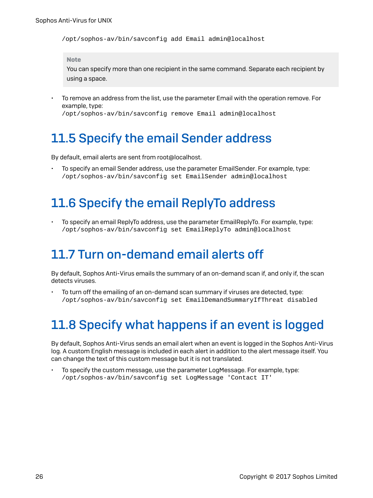/opt/sophos-av/bin/savconfig add Email admin@localhost

#### Note

You can specify more than one recipient in the same command. Separate each recipient by using a space.

• To remove an address from the list, use the parameter Email with the operation remove. For example, type:

/opt/sophos-av/bin/savconfig remove Email admin@localhost

# <span id="page-28-0"></span>11.5 Specify the email Sender address

By default, email alerts are sent from root@localhost.

• To specify an email Sender address, use the parameter EmailSender. For example, type: /opt/sophos-av/bin/savconfig set EmailSender admin@localhost

## <span id="page-28-1"></span>11.6 Specify the email ReplyTo address

• To specify an email ReplyTo address, use the parameter EmailReplyTo. For example, type: /opt/sophos-av/bin/savconfig set EmailReplyTo admin@localhost

## <span id="page-28-2"></span>11.7 Turn on-demand email alerts off

By default, Sophos Anti-Virus emails the summary of an on-demand scan if, and only if, the scan detects viruses.

• To turn off the emailing of an on-demand scan summary if viruses are detected, type: /opt/sophos-av/bin/savconfig set EmailDemandSummaryIfThreat disabled

# <span id="page-28-3"></span>11.8 Specify what happens if an event is logged

By default, Sophos Anti-Virus sends an email alert when an event is logged in the Sophos Anti-Virus log. A custom English message is included in each alert in addition to the alert message itself. You can change the text of this custom message but it is not translated.

• To specify the custom message, use the parameter LogMessage. For example, type: /opt/sophos-av/bin/savconfig set LogMessage 'Contact IT'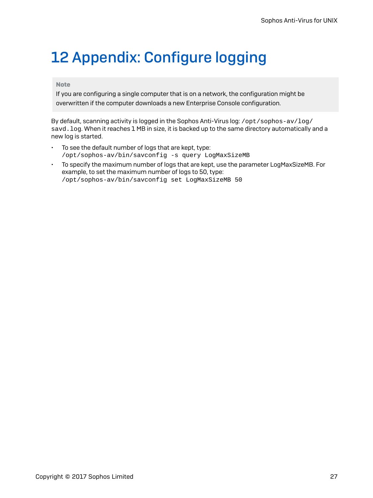# <span id="page-29-0"></span>12 Appendix: Configure logging

### Note

If you are configuring a single computer that is on a network, the configuration might be overwritten if the computer downloads a new Enterprise Console configuration.

By default, scanning activity is logged in the Sophos Anti-Virus log: /opt/sophos-av/log/ savd. log. When it reaches 1 MB in size, it is backed up to the same directory automatically and a new log is started.

- To see the default number of logs that are kept, type: /opt/sophos-av/bin/savconfig -s query LogMaxSizeMB
- To specify the maximum number of logs that are kept, use the parameter LogMaxSizeMB. For example, to set the maximum number of logs to 50, type: /opt/sophos-av/bin/savconfig set LogMaxSizeMB 50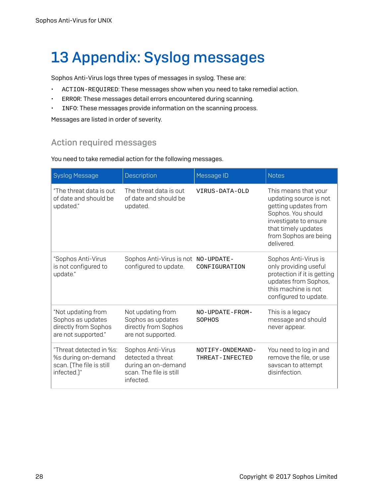# <span id="page-30-0"></span>13 Appendix: Syslog messages

Sophos Anti-Virus logs three types of messages in syslog. These are:

- ACTION-REQUIRED: These messages show when you need to take remedial action.
- ERROR: These messages detail errors encountered during scanning.
- INFO: These messages provide information on the scanning process.

Messages are listed in order of severity.

## Action required messages

You need to take remedial action for the following messages.

| <b>Syslog Message</b>                                                                     | Description                                                                                           | Message ID                          | <b>Notes</b>                                                                                                                                                                        |
|-------------------------------------------------------------------------------------------|-------------------------------------------------------------------------------------------------------|-------------------------------------|-------------------------------------------------------------------------------------------------------------------------------------------------------------------------------------|
| "The threat data is out<br>of date and should be<br>updated."                             | The threat data is out<br>of date and should be<br>updated.                                           | VIRUS-DATA-OLD                      | This means that your<br>updating source is not<br>getting updates from<br>Sophos. You should<br>investigate to ensure<br>that timely updates<br>from Sophos are being<br>delivered. |
| "Sophos Anti-Virus<br>is not configured to<br>update."                                    | Sophos Anti-Virus is not<br>configured to update.                                                     | NO-UPDATE-<br>CONFIGURATION         | Sophos Anti-Virus is<br>only providing useful<br>protection if it is getting<br>updates from Sophos,<br>this machine is not<br>configured to update.                                |
| "Not updating from<br>Sophos as updates<br>directly from Sophos<br>are not supported."    | Not updating from<br>Sophos as updates<br>directly from Sophos<br>are not supported.                  | NO-UPDATE-FROM-<br>SOPHOS           | This is a legacy<br>message and should<br>never appear.                                                                                                                             |
| "Threat detected in %s:<br>%s during on-demand<br>scan. (The file is still<br>infected.)" | Sophos Anti-Virus<br>detected a threat<br>during an on-demand<br>scan. The file is still<br>infected. | NOTIFY-ONDEMAND-<br>THREAT-INFECTED | You need to log in and<br>remove the file, or use<br>savscan to attempt<br>disinfection.                                                                                            |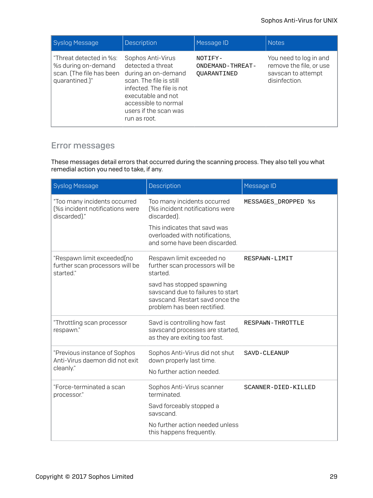| Syslog Message                                                                               | <b>Description</b>                                                                                                                                                                                           | Message ID                                 | Notes,                                                                                   |
|----------------------------------------------------------------------------------------------|--------------------------------------------------------------------------------------------------------------------------------------------------------------------------------------------------------------|--------------------------------------------|------------------------------------------------------------------------------------------|
| "Threat detected in %s:<br>%s during on-demand<br>scan. (The file has been<br>quarantined.)" | Sophos Anti-Virus<br>detected a threat<br>during an on-demand<br>scan. The file is still<br>infected. The file is not<br>executable and not<br>accessible to normal<br>users if the scan was<br>run as root. | NOTIFY-<br>ONDEMAND-THREAT-<br>OUARANTINED | You need to log in and<br>remove the file, or use<br>savscan to attempt<br>disinfection. |

### Error messages

These messages detail errors that occurred during the scanning process. They also tell you what remedial action you need to take, if any.

| <b>Syslog Message</b>                                                           | Description                                                                                                                      | Message ID          |
|---------------------------------------------------------------------------------|----------------------------------------------------------------------------------------------------------------------------------|---------------------|
| "Too many incidents occurred<br>[%s incident notifications were<br>discarded)." | Too many incidents occurred<br>[%s incident notifications were<br>discarded).                                                    | MESSAGES_DROPPED %s |
|                                                                                 | This indicates that savd was<br>overloaded with notifications,<br>and some have been discarded.                                  |                     |
| "Respawn limit exceeded[no<br>further scan processors will be<br>started."      | Respawn limit exceeded no<br>further scan processors will be<br>started.                                                         | RESPAWN-LIMIT       |
|                                                                                 | savd has stopped spawning<br>savscand due to failures to start<br>savscand. Restart savd once the<br>problem has been rectified. |                     |
| "Throttling scan processor<br>respawn."                                         | Savd is controlling how fast<br>savscand processes are started,<br>as they are exiting too fast.                                 | RESPAWN-THROTTLE    |
| "Previous instance of Sophos<br>Anti-Virus daemon did not exit<br>cleanly."     | Sophos Anti-Virus did not shut<br>down properly last time.<br>No further action needed.                                          | SAVD-CLEANUP        |
| "Force-terminated a scan<br>processor."                                         | Sophos Anti-Virus scanner<br>terminated.                                                                                         | SCANNER-DIED-KILLED |
|                                                                                 | Savd forceably stopped a<br>savscand.                                                                                            |                     |
|                                                                                 | No further action needed unless<br>this happens frequently.                                                                      |                     |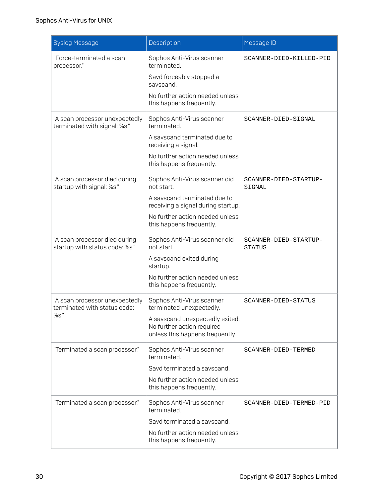| <b>Syslog Message</b>                                                  | Description                                                                                                                                                                      | Message ID                             |
|------------------------------------------------------------------------|----------------------------------------------------------------------------------------------------------------------------------------------------------------------------------|----------------------------------------|
| "Force-terminated a scan<br>processor."                                | Sophos Anti-Virus scanner<br>terminated.<br>Savd forceably stopped a<br>savscand.<br>No further action needed unless<br>this happens frequently.                                 | SCANNER-DIED-KILLED-PID                |
| "A scan processor unexpectedly<br>terminated with signal: %s."         | Sophos Anti-Virus scanner<br>terminated.<br>A savscand terminated due to<br>receiving a signal.<br>No further action needed unless<br>this happens frequently.                   | SCANNER-DIED-SIGNAL                    |
| "A scan processor died during<br>startup with signal: %s."             | Sophos Anti-Virus scanner did<br>not start.<br>A savscand terminated due to<br>receiving a signal during startup.<br>No further action needed unless<br>this happens frequently. | SCANNER-DIED-STARTUP-<br>SIGNAL        |
| "A scan processor died during<br>startup with status code: %s."        | Sophos Anti-Virus scanner did<br>not start.<br>A savscand exited during<br>startup.<br>No further action needed unless<br>this happens frequently.                               | SCANNER-DIED-STARTUP-<br><b>STATUS</b> |
| "A scan processor unexpectedly<br>terminated with status code:<br>%s." | Sophos Anti-Virus scanner<br>terminated unexpectedly.<br>A savscand unexpectedly exited.<br>No further action required<br>unless this happens frequently.                        | SCANNER-DIED-STATUS                    |
| "Terminated a scan processor."                                         | Sophos Anti-Virus scanner<br>terminated.<br>Savd terminated a savscand.<br>No further action needed unless<br>this happens frequently.                                           | SCANNER-DIED-TERMED                    |
| "Terminated a scan processor."                                         | Sophos Anti-Virus scanner<br>terminated.<br>Savd terminated a savscand.<br>No further action needed unless<br>this happens frequently.                                           | SCANNER-DIED-TERMED-PID                |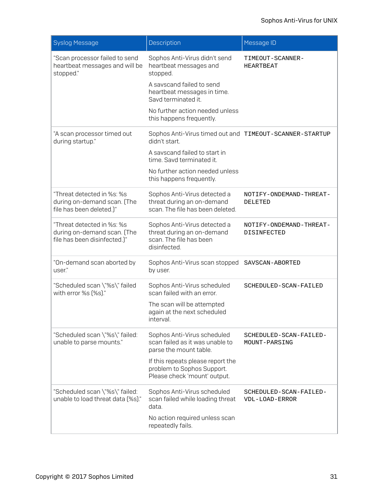| <b>Syslog Message</b>                                                                     | Description                                                                                           | Message ID                                    |
|-------------------------------------------------------------------------------------------|-------------------------------------------------------------------------------------------------------|-----------------------------------------------|
| "Scan processor failed to send<br>heartbeat messages and will be<br>stopped."             | Sophos Anti-Virus didn't send<br>heartbeat messages and<br>stopped.                                   | TIMEOUT-SCANNER-<br>HEARTBEAT                 |
|                                                                                           | A savscand failed to send<br>heartbeat messages in time.<br>Savd terminated it.                       |                                               |
|                                                                                           | No further action needed unless<br>this happens frequently.                                           |                                               |
| "A scan processor timed out<br>during startup."                                           | Sophos Anti-Virus timed out and<br>didn't start.                                                      | TIMEOUT-SCANNER-STARTUP                       |
|                                                                                           | A savscand failed to start in<br>time. Savd terminated it.                                            |                                               |
|                                                                                           | No further action needed unless<br>this happens frequently.                                           |                                               |
| "Threat detected in %s: %s<br>during on-demand scan. (The<br>file has been deleted.)"     | Sophos Anti-Virus detected a<br>threat during an on-demand<br>scan. The file has been deleted.        | NOTIFY-ONDEMAND-THREAT-<br>DELETED            |
| "Threat detected in %s: %s<br>during on-demand scan. (The<br>file has been disinfected.)" | Sophos Anti-Virus detected a<br>threat during an on-demand<br>scan. The file has been<br>disinfected. | NOTIFY-ONDEMAND-THREAT-<br><b>DISINFECTED</b> |
| "On-demand scan aborted by<br>user."                                                      | Sophos Anti-Virus scan stopped<br>by user.                                                            | SAVSCAN-ABORTED                               |
| "Scheduled scan \"%s\" failed<br>with error %s [%s]."                                     | Sophos Anti-Virus scheduled<br>scan failed with an error.                                             | SCHEDULED-SCAN-FAILED                         |
|                                                                                           | The scan will be attempted<br>again at the next scheduled<br>interval.                                |                                               |
| "Scheduled scan \"%s\" failed:<br>unable to parse mounts."                                | Sophos Anti-Virus scheduled<br>scan failed as it was unable to<br>parse the mount table.              | SCHEDULED-SCAN-FAILED-<br>MOUNT-PARSING       |
|                                                                                           | If this repeats please report the<br>problem to Sophos Support.<br>Please check 'mount' output.       |                                               |
| "Scheduled scan \"%s\" failed:<br>unable to load threat data [%s]."                       | Sophos Anti-Virus scheduled<br>scan failed while loading threat<br>data.                              | SCHEDULED-SCAN-FAILED-<br>VDL-LOAD-ERROR      |
|                                                                                           | No action required unless scan<br>repeatedly fails.                                                   |                                               |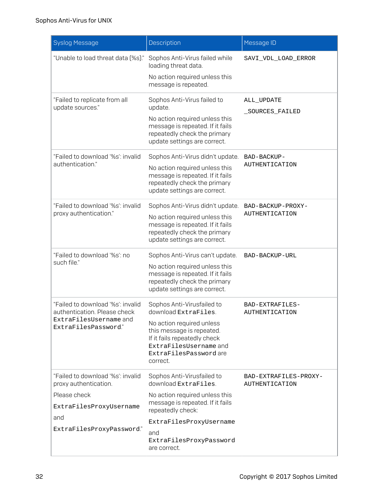| <b>Syslog Message</b>                                                                                                                     | Description                                                                                                                                                                                                                | Message ID                                     |
|-------------------------------------------------------------------------------------------------------------------------------------------|----------------------------------------------------------------------------------------------------------------------------------------------------------------------------------------------------------------------------|------------------------------------------------|
| "Unable to load threat data [%s]."                                                                                                        | Sophos Anti-Virus failed while<br>loading threat data.<br>No action required unless this<br>message is repeated.                                                                                                           | SAVI_VDL_LOAD_ERROR                            |
| "Failed to replicate from all<br>update sources."                                                                                         | Sophos Anti-Virus failed to<br>update.<br>No action required unless this<br>message is repeated. If it fails<br>repeatedly check the primary<br>update settings are correct.                                               | ALL UPDATE<br>_SOURCES_FAILED                  |
| "Failed to download '%s': invalid<br>authentication."                                                                                     | Sophos Anti-Virus didn't update.<br>No action required unless this<br>message is repeated. If it fails<br>repeatedly check the primary<br>update settings are correct.                                                     | BAD-BACKUP-<br><b>AUTHENTICATION</b>           |
| "Failed to download '%s": invalid<br>proxy authentication."                                                                               | Sophos Anti-Virus didn't update.<br>No action required unless this<br>message is repeated. If it fails<br>repeatedly check the primary<br>update settings are correct.                                                     | BAD-BACKUP-PROXY-<br><b>AUTHENTICATION</b>     |
| "Failed to download '%s': no<br>such file."                                                                                               | Sophos Anti-Virus can't update.<br>No action required unless this<br>message is repeated. If it fails<br>repeatedly check the primary<br>update settings are correct.                                                      | BAD-BACKUP-URL                                 |
| "Failed to download '%s': invalid<br>authentication. Please check<br>ExtraFilesUsername and<br>ExtraFilesPassword."                       | Sophos Anti-Virusfailed to<br>download ExtraFiles.<br>No action required unless<br>this message is repeated.<br>If it fails repeatedly check<br>ExtraFilesUsername and<br>ExtraFilesPassword are<br>correct.               | BAD-EXTRAFILES-<br><b>AUTHENTICATION</b>       |
| "Failed to download '%s": invalid<br>proxy authentication.<br>Please check<br>ExtraFilesProxyUsername<br>and<br>ExtraFilesProxyPassword." | Sophos Anti-Virusfailed to<br>download ExtraFiles.<br>No action required unless this<br>message is repeated. If it fails<br>repeatedly check:<br>ExtraFilesProxyUsername<br>and<br>ExtraFilesProxyPassword<br>are correct. | BAD-EXTRAFILES-PROXY-<br><b>AUTHENTICATION</b> |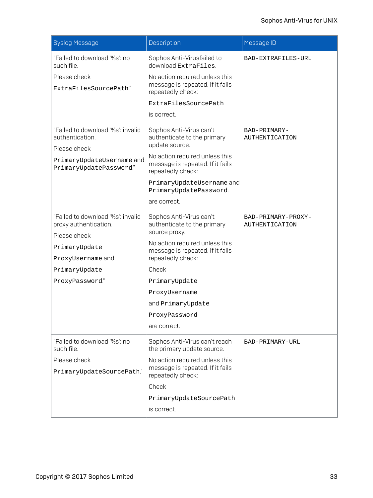| <b>Syslog Message</b>                                      | Description                                                                             | Message ID                           |
|------------------------------------------------------------|-----------------------------------------------------------------------------------------|--------------------------------------|
| "Failed to download '%s': no<br>such file.                 | Sophos Anti-Virusfailed to<br>download ExtraFiles.                                      | BAD-EXTRAFILES-URL                   |
| Please check<br>ExtraFilesSourcePath."                     | No action required unless this<br>message is repeated. If it fails<br>repeatedly check: |                                      |
|                                                            | ExtraFilesSourcePath                                                                    |                                      |
|                                                            | is correct.                                                                             |                                      |
| "Failed to download '%s": invalid<br>authentication.       | Sophos Anti-Virus can't<br>authenticate to the primary<br>update source.                | BAD-PRIMARY-<br>AUTHENTICATION       |
| Please check                                               | No action required unless this                                                          |                                      |
| PrimaryUpdateUsername and<br>PrimaryUpdatePassword."       | message is repeated. If it fails<br>repeatedly check:                                   |                                      |
|                                                            | PrimaryUpdateUsername and<br>PrimaryUpdatePassword.                                     |                                      |
|                                                            | are correct.                                                                            |                                      |
| "Failed to download '%s": invalid<br>proxy authentication. | Sophos Anti-Virus can't<br>authenticate to the primary                                  | BAD-PRIMARY-PROXY-<br>AUTHENTICATION |
| Please check                                               | source proxy.                                                                           |                                      |
| PrimaryUpdate                                              | No action required unless this<br>message is repeated. If it fails                      |                                      |
| ProxyUsername and                                          | repeatedly check:                                                                       |                                      |
| PrimaryUpdate                                              | Check                                                                                   |                                      |
| ProxyPassword."                                            | PrimaryUpdate                                                                           |                                      |
|                                                            | ProxyUsername                                                                           |                                      |
|                                                            | and PrimaryUpdate                                                                       |                                      |
|                                                            | ProxyPassword                                                                           |                                      |
|                                                            | are correct.                                                                            |                                      |
| "Failed to download '%s': no<br>such file.                 | Sophos Anti-Virus can't reach<br>the primary update source.                             | BAD-PRIMARY-URL                      |
| Please check                                               | No action required unless this                                                          |                                      |
| PrimaryUpdateSourcePath."                                  | message is repeated. If it fails<br>repeatedly check:                                   |                                      |
|                                                            | Check                                                                                   |                                      |
|                                                            | PrimaryUpdateSourcePath                                                                 |                                      |
|                                                            | is correct.                                                                             |                                      |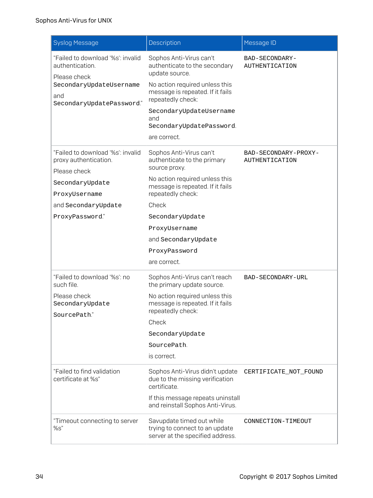| <b>Syslog Message</b>                                                                                                                                    | Description                                                                                                                                                                                                                                                                            | Message ID                                 |
|----------------------------------------------------------------------------------------------------------------------------------------------------------|----------------------------------------------------------------------------------------------------------------------------------------------------------------------------------------------------------------------------------------------------------------------------------------|--------------------------------------------|
| "Failed to download '%s": invalid<br>authentication.<br>Please check<br>SecondaryUpdateUsername<br>and<br>SecondaryUpdatePassword."                      | Sophos Anti-Virus can't<br>authenticate to the secondary<br>update source.<br>No action required unless this<br>message is repeated. If it fails<br>repeatedly check:<br>SecondaryUpdateUsername<br>and<br>SecondaryUpdatePassword.<br>are correct.                                    | BAD-SECONDARY-<br><b>AUTHENTICATION</b>    |
| "Failed to download '%s": invalid<br>proxy authentication.<br>Please check<br>SecondaryUpdate<br>ProxyUsername<br>and SecondaryUpdate<br>ProxyPassword." | Sophos Anti-Virus can't<br>authenticate to the primary<br>source proxy.<br>No action required unless this<br>message is repeated. If it fails<br>repeatedly check:<br>Check<br>SecondaryUpdate<br>ProxyUsername<br>and SecondaryUpdate<br>ProxyPassword<br>are correct.                | BAD-SECONDARY-PROXY-<br>AUTHENTICATION     |
| "Failed to download '%s': no<br>such file.<br>Please check<br>SecondaryUpdate<br>SourcePath."<br>"Failed to find validation<br>certificate at %s"        | Sophos Anti-Virus can't reach<br>the primary update source.<br>No action required unless this<br>message is repeated. If it fails<br>repeatedly check:<br>Check<br>SecondaryUpdate<br>SourcePath.<br>is correct.<br>Sophos Anti-Virus didn't update<br>due to the missing verification | BAD-SECONDARY-URL<br>CERTIFICATE_NOT_FOUND |
| "Timeout connecting to server                                                                                                                            | certificate.<br>If this message repeats uninstall<br>and reinstall Sophos Anti-Virus.<br>Savupdate timed out while                                                                                                                                                                     | CONNECTION-TIMEOUT                         |
| %s"                                                                                                                                                      | trying to connect to an update<br>server at the specified address.                                                                                                                                                                                                                     |                                            |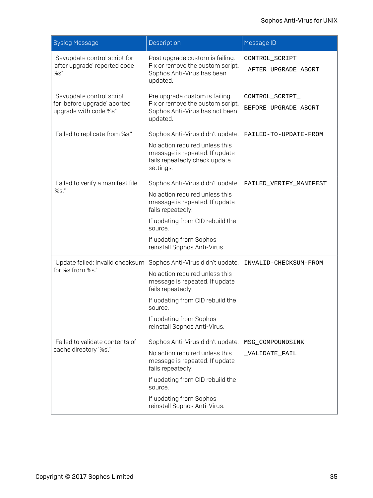| <b>Syslog Message</b>                                                              | Description                                                                                                                                                                                                                         | Message ID                              |
|------------------------------------------------------------------------------------|-------------------------------------------------------------------------------------------------------------------------------------------------------------------------------------------------------------------------------------|-----------------------------------------|
| "Savupdate control script for<br>'after upgrade' reported code<br>%s"              | Post upgrade custom is failing.<br>Fix or remove the custom script.<br>Sophos Anti-Virus has been<br>updated.                                                                                                                       | CONTROL_SCRIPT<br>_AFTER_UPGRADE_ABORT  |
| "Savupdate control script<br>for 'before upgrade' aborted<br>upgrade with code %s" | Pre upgrade custom is failing.<br>Fix or remove the custom script.<br>Sophos Anti-Virus has not been<br>updated.                                                                                                                    | CONTROL_SCRIPT_<br>BEFORE_UPGRADE_ABORT |
| "Failed to replicate from %s."                                                     | Sophos Anti-Virus didn't update.<br>No action required unless this<br>message is repeated. If update<br>fails repeatedly check update<br>settings.                                                                                  | FAILED-TO-UPDATE-FROM                   |
| "Failed to verify a manifest file<br>'%s'."                                        | Sophos Anti-Virus didn't update.<br>No action required unless this<br>message is repeated. If update<br>fails repeatedly:<br>If updating from CID rebuild the<br>source.<br>If updating from Sophos<br>reinstall Sophos Anti-Virus. | FAILED_VERIFY_MANIFEST                  |
| "Update failed: Invalid checksum<br>for %s from %s."                               | Sophos Anti-Virus didn't update.<br>No action required unless this<br>message is repeated. If update<br>fails repeatedly:<br>If updating from CID rebuild the<br>source.<br>If updating from Sophos<br>reinstall Sophos Anti-Virus. | INVALID-CHECKSUM-FROM                   |
| "Failed to validate contents of<br>cache directory '%s'."                          | Sophos Anti-Virus didn't update.<br>No action required unless this<br>message is repeated. If update<br>fails repeatedly:<br>If updating from CID rebuild the<br>source.<br>If updating from Sophos<br>reinstall Sophos Anti-Virus. | MSG_COMPOUNDSINK<br>_VALIDATE_FAIL      |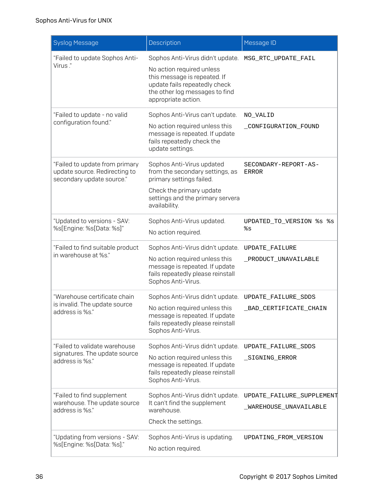| <b>Syslog Message</b>                                                                        | Description                                                                                                                                                                             | Message ID                                          |
|----------------------------------------------------------------------------------------------|-----------------------------------------------------------------------------------------------------------------------------------------------------------------------------------------|-----------------------------------------------------|
| "Failed to update Sophos Anti-<br>Virus "                                                    | Sophos Anti-Virus didn't update.<br>No action required unless<br>this message is repeated. If<br>update fails repeatedly check<br>the other log messages to find<br>appropriate action. | MSG_RTC_UPDATE_FAIL                                 |
| "Failed to update - no valid<br>configuration found."                                        | Sophos Anti-Virus can't update.<br>No action required unless this<br>message is repeated. If update<br>fails repeatedly check the<br>update settings.                                   | NO VALID<br>CONFIGURATION FOUND                     |
| "Failed to update from primary<br>update source. Redirecting to<br>secondary update source." | Sophos Anti-Virus updated<br>from the secondary settings, as<br>primary settings failed.<br>Check the primary update<br>settings and the primary servera<br>availability.               | SECONDARY-REPORT-AS-<br><b>ERROR</b>                |
| "Updated to versions - SAV:<br>%s[Engine: %s[Data: %s]"                                      | Sophos Anti-Virus updated.<br>No action required.                                                                                                                                       | UPDATED_TO_VERSION %s %s<br>៖ន                      |
| "Failed to find suitable product<br>in warehouse at %s."                                     | Sophos Anti-Virus didn't update.<br>No action required unless this<br>message is repeated. If update<br>fails repeatedly please reinstall<br>Sophos Anti-Virus.                         | UPDATE_FAILURE<br>_PRODUCT_UNAVAILABLE              |
| "Warehouse certificate chain<br>is invalid. The update source<br>address is %s."             | Sophos Anti-Virus didn't update.<br>No action required unless this<br>message is repeated. If update<br>fails repeatedly please reinstall<br>Sophos Anti-Virus.                         | UPDATE_FAILURE_SDDS<br>_BAD_CERTIFICATE_CHAIN       |
| "Failed to validate warehouse<br>signatures. The update source<br>address is %s."            | Sophos Anti-Virus didn't update.<br>No action required unless this<br>message is repeated. If update<br>fails repeatedly please reinstall<br>Sophos Anti-Virus.                         | UPDATE_FAILURE_SDDS<br>_SIGNING_ERROR               |
| "Failed to find supplement<br>warehouse. The update source<br>address is %s."                | Sophos Anti-Virus didn't update.<br>It can't find the supplement<br>warehouse.<br>Check the settings.                                                                                   | UPDATE_FAILURE_SUPPLEMENT<br>_WAREHOUSE_UNAVAILABLE |
| "Updating from versions - SAV:<br>%s[Engine: %s[Data: %s]."                                  | Sophos Anti-Virus is updating.<br>No action required.                                                                                                                                   | UPDATING_FROM_VERSION                               |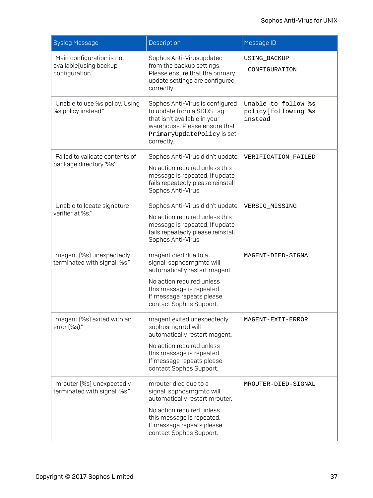| <b>Syslog Message</b>                                                   | Description                                                                                                                                                                                           | Message ID                                            |
|-------------------------------------------------------------------------|-------------------------------------------------------------------------------------------------------------------------------------------------------------------------------------------------------|-------------------------------------------------------|
| "Main configuration is not<br>available[using backup<br>configuration." | Sophos Anti-Virusupdated<br>from the backup settings.<br>Please ensure that the primary<br>update settings are configured<br>correctly.                                                               | USING_BACKUP<br>_CONFIGURATION                        |
| "Unable to use %s policy. Using<br>%s policy instead."                  | Sophos Anti-Virus is configured<br>to update from a SDDS Tag<br>that isn't available in your<br>warehouse. Please ensure that<br>PrimaryUpdatePolicy is set<br>correctly.                             | Unable to follow %s<br>policy[following %s<br>instead |
| "Failed to validate contents of<br>package directory '%s'."             | Sophos Anti-Virus didn't update.<br>No action required unless this<br>message is repeated. If update<br>fails repeatedly please reinstall<br>Sophos Anti-Virus.                                       | VERIFICATION_FAILED                                   |
| "Unable to locate signature<br>verifier at %s."                         | Sophos Anti-Virus didn't update.<br>No action required unless this<br>message is repeated. If update<br>fails repeatedly please reinstall<br>Sophos Anti-Virus.                                       | VERSIG_MISSING                                        |
| "magent [%s] unexpectedly<br>terminated with signal: %s."               | magent died due to a<br>signal. sophosmgmtd will<br>automatically restart magent.<br>No action required unless<br>this message is repeated.<br>If message repeats please<br>contact Sophos Support.   | MAGENT-DIED-SIGNAL                                    |
| "magent (%s) exited with an<br>error [%s]."                             | magent exited unexpectedly.<br>sophosmgmtd will<br>automatically restart magent.<br>No action required unless<br>this message is repeated.<br>If message repeats please<br>contact Sophos Support.    | MAGENT-EXIT-ERROR                                     |
| "mrouter (%s) unexpectedly<br>terminated with signal: %s."              | mrouter died due to a<br>signal. sophosmgmtd will<br>automatically restart mrouter.<br>No action required unless<br>this message is repeated.<br>If message repeats please<br>contact Sophos Support. | MROUTER-DIED-SIGNAL                                   |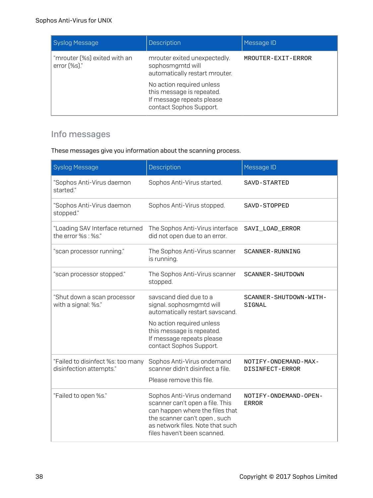| Syslog Message                                                         | <b>Description</b>                                                                                                                                                                                   | Message ID         |
|------------------------------------------------------------------------|------------------------------------------------------------------------------------------------------------------------------------------------------------------------------------------------------|--------------------|
| "mrouter (%s) exited with an<br>$error(% \mathscr{E}^{\prime})$ (%s)." | mrouter exited unexpectedly.<br>sophosmgmtd will<br>automatically restart mrouter.<br>No action required unless<br>this message is repeated.<br>If message repeats please<br>contact Sophos Support. | MROUTER-EXIT-ERROR |

## Info messages

### These messages give you information about the scanning process.

| <b>Syslog Message</b>                                        | Description                                                                                                                                                                                             | Message ID                              |
|--------------------------------------------------------------|---------------------------------------------------------------------------------------------------------------------------------------------------------------------------------------------------------|-----------------------------------------|
| "Sophos Anti-Virus daemon<br>started."                       | Sophos Anti-Virus started.                                                                                                                                                                              | SAVD-STARTED                            |
| "Sophos Anti-Virus daemon<br>stopped."                       | Sophos Anti-Virus stopped.                                                                                                                                                                              | SAVD-STOPPED                            |
| "Loading SAV Interface returned<br>the error %s : %s."       | The Sophos Anti-Virus interface<br>did not open due to an error.                                                                                                                                        | SAVI LOAD ERROR                         |
| "scan processor running."                                    | The Sophos Anti-Virus scanner<br>is running.                                                                                                                                                            | SCANNER-RUNNING                         |
| "scan processor stopped."                                    | The Sophos Anti-Virus scanner<br>stopped.                                                                                                                                                               | SCANNER-SHUTDOWN                        |
| "Shut down a scan processor<br>with a signal: %s."           | savscand died due to a<br>signal. sophosmgmtd will<br>automatically restart savscand.<br>No action required unless<br>this message is repeated.<br>If message repeats please<br>contact Sophos Support. | SCANNER-SHUTDOWN-WITH-<br>SIGNAL        |
| "Failed to disinfect %s: too many<br>disinfection attempts." | Sophos Anti-Virus ondemand<br>scanner didn't disinfect a file.<br>Please remove this file.                                                                                                              | NOTIFY-ONDEMAND-MAX-<br>DISINFECT-ERROR |
| "Failed to open %s."                                         | Sophos Anti-Virus ondemand<br>scanner can't open a file. This<br>can happen where the files that<br>the scanner can't open, such<br>as network files. Note that such<br>files haven't been scanned.     | NOTIFY-ONDEMAND-OPEN-<br><b>ERROR</b>   |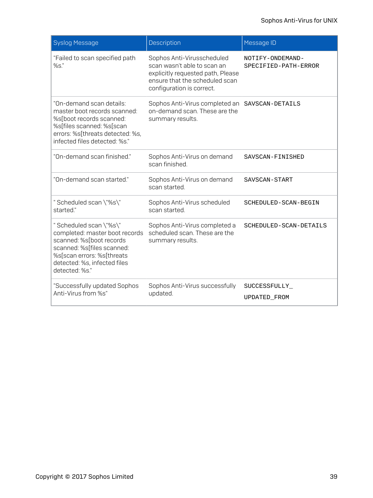| <b>Syslog Message</b>                                                                                                                                                                              | Description                                                                                                                                                   | Message ID                               |
|----------------------------------------------------------------------------------------------------------------------------------------------------------------------------------------------------|---------------------------------------------------------------------------------------------------------------------------------------------------------------|------------------------------------------|
| "Failed to scan specified path<br>%s."                                                                                                                                                             | Sophos Anti-Virusscheduled<br>scan wasn't able to scan an<br>explicitly requested path, Please<br>ensure that the scheduled scan<br>configuration is correct. | NOTIFY-ONDEMAND-<br>SPECIFIED-PATH-ERROR |
| "On-demand scan details:<br>master boot records scanned:<br>%s[boot records scanned:<br>%s[files scanned: %s[scan<br>errors: %s[threats detected: %s,<br>infected files detected: %s."             | Sophos Anti-Virus completed an<br>on-demand scan. These are the<br>summary results.                                                                           | SAVSCAN-DETAILS                          |
| "On-demand scan finished."                                                                                                                                                                         | Sophos Anti-Virus on demand<br>scan finished.                                                                                                                 | SAVSCAN-FINISHED                         |
| "On-demand scan started."                                                                                                                                                                          | Sophos Anti-Virus on demand<br>scan started.                                                                                                                  | SAVSCAN-START                            |
| "Scheduled scan \"%s\"<br>started."                                                                                                                                                                | Sophos Anti-Virus scheduled<br>scan started.                                                                                                                  | SCHEDULED-SCAN-BEGIN                     |
| "Scheduled scan \"%s\"<br>completed: master boot records<br>scanned: %s[boot records<br>scanned: %s[files scanned:<br>%s[scan errors: %s[threats<br>detected: %s, infected files<br>detected: %s." | Sophos Anti-Virus completed a<br>scheduled scan. These are the<br>summary results.                                                                            | SCHEDULED-SCAN-DETAILS                   |
| "Successfully updated Sophos<br>Anti-Virus from %s"                                                                                                                                                | Sophos Anti-Virus successfully<br>updated.                                                                                                                    | SUCCESSFULLY_<br>UPDATED_FROM            |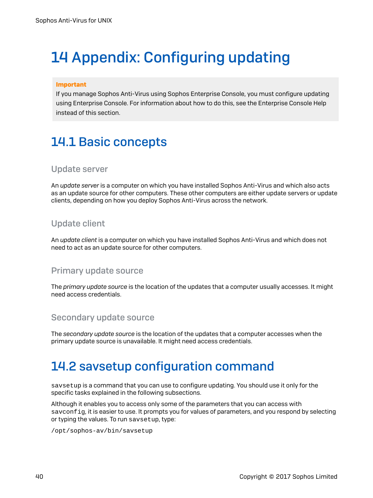# <span id="page-42-0"></span>14 Appendix: Configuring updating

### Important

If you manage Sophos Anti-Virus using Sophos Enterprise Console, you must configure updating using Enterprise Console. For information about how to do this, see the Enterprise Console Help instead of this section.

# <span id="page-42-1"></span>14.1 Basic concepts

### Update server

An *update server* is a computer on which you have installed Sophos Anti-Virus and which also acts as an update source for other computers. These other computers are either update servers or update clients, depending on how you deploy Sophos Anti-Virus across the network.

## Update client

An *update client* is a computer on which you have installed Sophos Anti-Virus and which does not need to act as an update source for other computers.

### Primary update source

The *primary update source* is the location of the updates that a computer usually accesses. It might need access credentials.

### Secondary update source

The *secondary update source* is the location of the updates that a computer accesses when the primary update source is unavailable. It might need access credentials.

## <span id="page-42-2"></span>14.2 savsetup configuration command

savsetup is a command that you can use to configure updating. You should use it only for the specific tasks explained in the following subsections.

Although it enables you to access only some of the parameters that you can access with savconfig, it is easier to use. It prompts you for values of parameters, and you respond by selecting or typing the values. To run savsetup, type:

/opt/sophos-av/bin/savsetup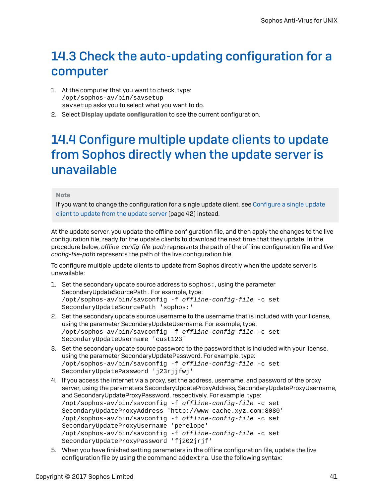# <span id="page-43-0"></span>14.3 Check the auto-updating configuration for a computer

- 1. At the computer that you want to check, type: /opt/sophos-av/bin/savsetup savsetup asks you to select what you want to do.
- 2. Select Display update configuration to see the current configuration.

# <span id="page-43-1"></span>14.4 Configure multiple update clients to update from Sophos directly when the update server is unavailable

#### Note

If you want to change the configuration for a single update client, see [Configure](#page-44-0) a single update client to [update](#page-44-0) from the update server (page 42) instead.

At the update server, you update the offline configuration file, and then apply the changes to the live configuration file, ready for the update clients to download the next time that they update. In the procedure below, *offline-config-file-path* represents the path of the offline configuration file and *liveconfig-file-path* represents the path of the live configuration file.

To configure multiple update clients to update from Sophos directly when the update server is unavailable:

- 1. Set the secondary update source address to sophos:, using the parameter SecondaryUpdateSourcePath . For example, type: /opt/sophos-av/bin/savconfig -f offline-config-file -c set SecondaryUpdateSourcePath 'sophos:'
- 2. Set the secondary update source username to the username that is included with your license, using the parameter SecondaryUpdateUsername. For example, type: /opt/sophos-av/bin/savconfig -f offline-config-file -c set SecondaryUpdateUsername 'cust123'
- 3. Set the secondary update source password to the password that is included with your license, using the parameter SecondaryUpdatePassword. For example, type: /opt/sophos-av/bin/savconfig -f offline-config-file -c set SecondaryUpdatePassword 'j23rjjfwj'
- 4. If you access the internet via a proxy, set the address, username, and password of the proxy server, using the parameters SecondaryUpdateProxyAddress, SecondaryUpdateProxyUsername, and SecondaryUpdateProxyPassword, respectively. For example, type: /opt/sophos-av/bin/savconfig -f offline-config-file -c set SecondaryUpdateProxyAddress 'http://www-cache.xyz.com:8080' /opt/sophos-av/bin/savconfig -f offline-config-file -c set SecondaryUpdateProxyUsername 'penelope' /opt/sophos-av/bin/savconfig -f offline-config-file -c set SecondaryUpdateProxyPassword 'fj202jrjf'
- 5. When you have finished setting parameters in the offline configuration file, update the live configuration file by using the command addextra. Use the following syntax: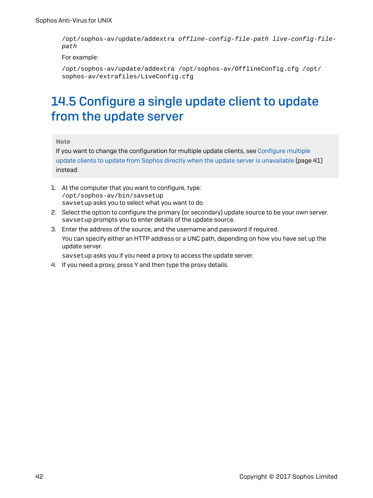/opt/sophos-av/update/addextra offline-config-file-path live-config-filepath

#### For example:

/opt/sophos-av/update/addextra /opt/sophos-av/OfflineConfig.cfg /opt/ sophos-av/extrafiles/LiveConfig.cfg

# <span id="page-44-0"></span>14.5 Configure a single update client to update from the update server

### Note

If you want to change the configuration for multiple update clients, see [Configure](#page-43-1) multiple update clients to update from Sophos directly when the update server is [unavailable](#page-43-1) (page 41) instead.

- 1. At the computer that you want to configure, type: /opt/sophos-av/bin/savsetup savsetup asks you to select what you want to do.
- 2. Select the option to configure the primary (or secondary) update source to be your own server. savsetup prompts you to enter details of the update source.
- 3. Enter the address of the source, and the username and password if required. You can specify either an HTTP address or a UNC path, depending on how you have set up the update server.

savsetup asks you if you need a proxy to access the update server.

4. If you need a proxy, press Y and then type the proxy details.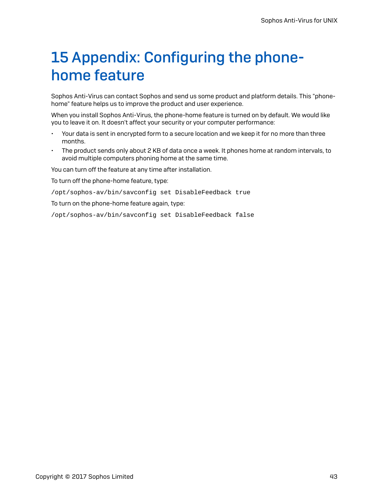# <span id="page-45-0"></span>15 Appendix: Configuring the phonehome feature

Sophos Anti-Virus can contact Sophos and send us some product and platform details. This "phonehome" feature helps us to improve the product and user experience.

When you install Sophos Anti-Virus, the phone-home feature is turned on by default. We would like you to leave it on. It doesn't affect your security or your computer performance:

- Your data is sent in encrypted form to a secure location and we keep it for no more than three months.
- The product sends only about 2 KB of data once a week. It phones home at random intervals, to avoid multiple computers phoning home at the same time.

You can turn off the feature at any time after installation.

To turn off the phone-home feature, type:

/opt/sophos-av/bin/savconfig set DisableFeedback true

To turn on the phone-home feature again, type:

/opt/sophos-av/bin/savconfig set DisableFeedback false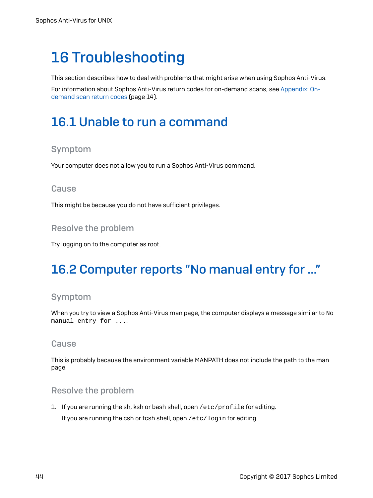# <span id="page-46-0"></span>16 Troubleshooting

This section describes how to deal with problems that might arise when using Sophos Anti-Virus.

For information about Sophos Anti-Virus return codes for on-demand scans, see [Appendix: On](#page-16-0)[demand](#page-16-0) scan return codes (page 14).

# <span id="page-46-1"></span>16.1 Unable to run a command

### Symptom

Your computer does not allow you to run a Sophos Anti-Virus command.

### **Cause**

This might be because you do not have sufficient privileges.

### Resolve the problem

Try logging on to the computer as root.

# <span id="page-46-2"></span>16.2 Computer reports "No manual entry for …"

### Symptom

When you try to view a Sophos Anti-Virus man page, the computer displays a message similar to  $N$ o manual entry for ....

### **Cause**

This is probably because the environment variable MANPATH does not include the path to the man page.

### Resolve the problem

1. If you are running the sh, ksh or bash shell, open /etc/profile for editing. If you are running the csh or tcsh shell, open /etc/login for editing.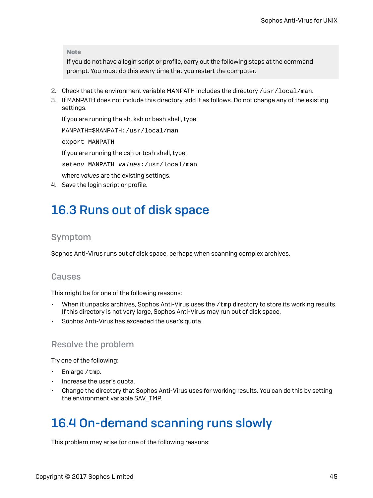Note

If you do not have a login script or profile, carry out the following steps at the command prompt. You must do this every time that you restart the computer.

- 2. Check that the environment variable MANPATH includes the directory  $/$ usr $/$ local $/$ man.
- 3. If MANPATH does not include this directory, add it as follows. Do not change any of the existing settings.

If you are running the sh, ksh or bash shell, type: MANPATH=\$MANPATH:/usr/local/man export MANPATH If you are running the csh or tcsh shell, type: setenv MANPATH values:/usr/local/man where *values* are the existing settings. 4. Save the login script or profile.

# <span id="page-47-0"></span>16.3 Runs out of disk space

### Symptom

Sophos Anti-Virus runs out of disk space, perhaps when scanning complex archives.

### **Causes**

This might be for one of the following reasons:

- When it unpacks archives, Sophos Anti-Virus uses the /tmp directory to store its working results. If this directory is not very large, Sophos Anti-Virus may run out of disk space.
- Sophos Anti-Virus has exceeded the user's quota.

### Resolve the problem

Try one of the following:

- Enlarge / tmp.
- Increase the user's quota.
- Change the directory that Sophos Anti-Virus uses for working results. You can do this by setting the environment variable SAV\_TMP.

# <span id="page-47-1"></span>16.4 On-demand scanning runs slowly

This problem may arise for one of the following reasons: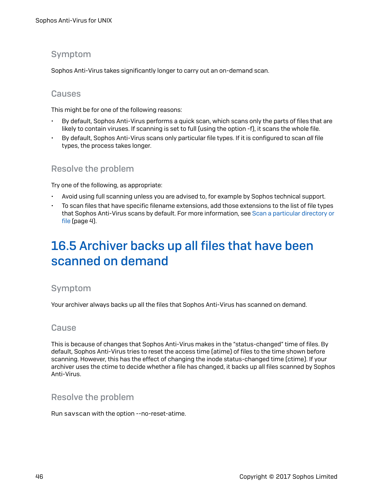### Symptom

Sophos Anti-Virus takes significantly longer to carry out an on-demand scan.

### Causes

This might be for one of the following reasons:

- By default, Sophos Anti-Virus performs a quick scan, which scans only the parts of files that are likely to contain viruses. If scanning is set to full (using the option -f), it scans the whole file.
- By default, Sophos Anti-Virus scans only particular file types. If it is configured to scan *all* file types, the process takes longer.

### Resolve the problem

Try one of the following, as appropriate:

- Avoid using full scanning unless you are advised to, for example by Sophos technical support.
- To scan files that have specific filename extensions, add those extensions to the list of file types that Sophos Anti-Virus scans by default. For more information, see Scan a [particular](#page-6-3) directory or [file](#page-6-3) (page 4).

# <span id="page-48-0"></span>16.5 Archiver backs up all files that have been scanned on demand

### Symptom

Your archiver always backs up all the files that Sophos Anti-Virus has scanned on demand.

### **Cause**

This is because of changes that Sophos Anti-Virus makes in the "status-changed" time of files. By default, Sophos Anti-Virus tries to reset the access time (atime) of files to the time shown before scanning. However, this has the effect of changing the inode status-changed time (ctime). If your archiver uses the ctime to decide whether a file has changed, it backs up all files scanned by Sophos Anti-Virus.

### Resolve the problem

Run savscan with the option --no-reset-atime.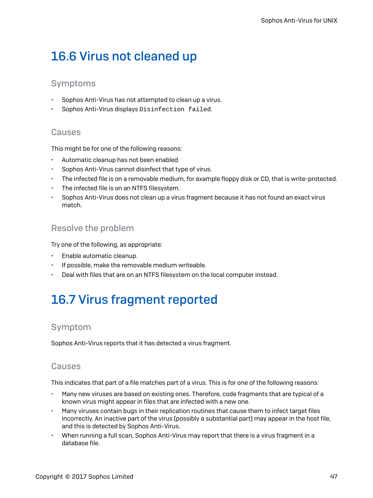# <span id="page-49-0"></span>16.6 Virus not cleaned up

### Symptoms

- Sophos Anti-Virus has not attempted to clean up a virus.
- Sophos Anti-Virus displays Disinfection failed.

### **Causes**

This might be for one of the following reasons:

- Automatic cleanup has not been enabled.
- Sophos Anti-Virus cannot disinfect that type of virus.
- The infected file is on a removable medium, for example floppy disk or CD, that is write-protected.
- The infected file is on an NTFS filesystem.
- Sophos Anti-Virus does not clean up a virus fragment because it has not found an exact virus match.

### Resolve the problem

Try one of the following, as appropriate:

- Enable automatic cleanup.
- If possible, make the removable medium writeable.
- Deal with files that are on an NTFS filesystem on the local computer instead.

# <span id="page-49-1"></span>16.7 Virus fragment reported

### Symptom

Sophos Anti-Virus reports that it has detected a virus fragment.

### Causes

This indicates that part of a file matches part of a virus. This is for one of the following reasons:

- Many new viruses are based on existing ones. Therefore, code fragments that are typical of a known virus might appear in files that are infected with a new one.
- Many viruses contain bugs in their replication routines that cause them to infect target files incorrectly. An inactive part of the virus (possibly a substantial part) may appear in the host file, and this is detected by Sophos Anti-Virus.
- When running a full scan, Sophos Anti-Virus may report that there is a virus fragment in a database file.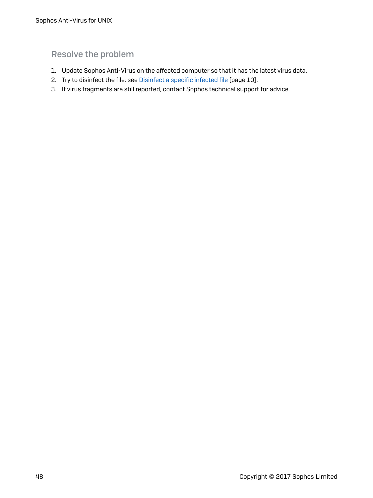## Resolve the problem

- 1. Update Sophos Anti-Virus on the affected computer so that it has the latest virus data.
- 2. Try to disinfect the file: see [Disinfect](#page-12-1) a specific infected file (page 10).
- 3. If virus fragments are still reported, contact Sophos technical support for advice.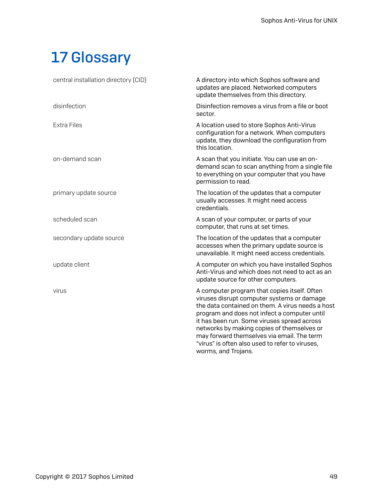# <span id="page-51-0"></span>17 Glossary

| central installation directory (CID) | A directory into which Sophos software and<br>updates are placed. Networked computers<br>update themselves from this directory.                                                                                                                                                                                                                                                                                     |
|--------------------------------------|---------------------------------------------------------------------------------------------------------------------------------------------------------------------------------------------------------------------------------------------------------------------------------------------------------------------------------------------------------------------------------------------------------------------|
| disinfection                         | Disinfection removes a virus from a file or boot<br>sector.                                                                                                                                                                                                                                                                                                                                                         |
| <b>Extra Files</b>                   | A location used to store Sophos Anti-Virus<br>configuration for a network. When computers<br>update, they download the configuration from<br>this location.                                                                                                                                                                                                                                                         |
| on-demand scan                       | A scan that you initiate. You can use an on-<br>demand scan to scan anything from a single file<br>to everything on your computer that you have<br>permission to read.                                                                                                                                                                                                                                              |
| primary update source                | The location of the updates that a computer<br>usually accesses. It might need access<br>credentials.                                                                                                                                                                                                                                                                                                               |
| scheduled scan                       | A scan of your computer, or parts of your<br>computer, that runs at set times.                                                                                                                                                                                                                                                                                                                                      |
| secondary update source              | The location of the updates that a computer<br>accesses when the primary update source is<br>unavailable. It might need access credentials.                                                                                                                                                                                                                                                                         |
| update client                        | A computer on which you have installed Sophos<br>Anti-Virus and which does not need to act as an<br>update source for other computers.                                                                                                                                                                                                                                                                              |
| virus                                | A computer program that copies itself. Often<br>viruses disrupt computer systems or damage<br>the data contained on them. A virus needs a host<br>program and does not infect a computer until<br>it has been run. Some viruses spread across<br>networks by making copies of themselves or<br>may forward themselves via email. The term<br>"virus" is often also used to refer to viruses,<br>worms, and Trojans. |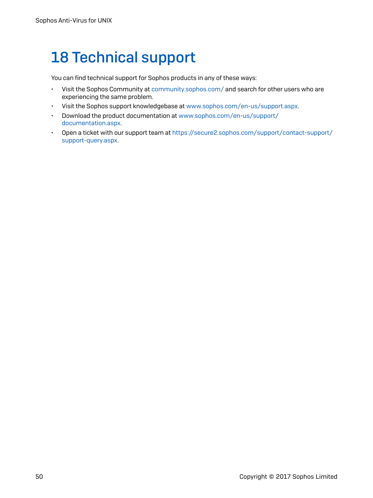# <span id="page-52-0"></span>18 Technical support

You can find technical support for Sophos products in any of these ways:

- Visit the Sophos Community at [community.sophos.com/](https://community.sophos.com) and search for other users who are experiencing the same problem.
- Visit the Sophos support knowledgebase at [www.sophos.com/en-us/support.aspx](https://www.sophos.com/en-us/support.aspx).
- Download the product documentation at [www.sophos.com/en-us/support/](https://www.sophos.com/en-us/support/documentation.aspx) [documentation.aspx](https://www.sophos.com/en-us/support/documentation.aspx).
- Open a ticket with our support team at [https://secure2.sophos.com/support/contact-support/](https://secure2.sophos.com/support/contact-support/support-query.aspx) [support-query.aspx](https://secure2.sophos.com/support/contact-support/support-query.aspx).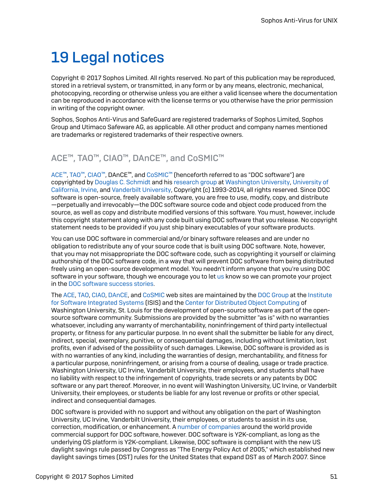# <span id="page-53-0"></span>19 Legal notices

Copyright © 2017 Sophos Limited. All rights reserved. No part of this publication may be reproduced, stored in a retrieval system, or transmitted, in any form or by any means, electronic, mechanical, photocopying, recording or otherwise unless you are either a valid licensee where the documentation can be reproduced in accordance with the license terms or you otherwise have the prior permission in writing of the copyright owner.

Sophos, Sophos Anti-Virus and SafeGuard are registered trademarks of Sophos Limited, Sophos Group and Utimaco Safeware AG, as applicable. All other product and company names mentioned are trademarks or registered trademarks of their respective owners.

## ACE™, TAO™, CIAO™, DAnCE™, and CoSMIC™

[ACE](http://www.cs.wustl.edu/~schmidt/ACE.html)™, [TAO](http://www.cs.wustl.edu/~schmidt/TAO.html)™, [CIAO](http://www.dre.vanderbilt.edu/CIAO/)™, DAnCE™, and [CoSMIC](http://www.dre.vanderbilt.edu/cosmic/)™ (henceforth referred to as "DOC software") are copyrighted by Douglas C. [Schmidt](http://www.dre.vanderbilt.edu/~schmidt/) and his [research](http://www.cs.wustl.edu/~schmidt/ACE-members.html) group at [Washington](http://www.wustl.edu/) University, [University](http://www.uci.edu) of [California,](http://www.uci.edu) Irvine, and [Vanderbilt](http://www.vanderbilt.edu) University, Copyright (c) 1993-2014, all rights reserved. Since DOC software is open-source, freely available software, you are free to use, modify, copy, and distribute —perpetually and irrevocably—the DOC software source code and object code produced from the source, as well as copy and distribute modified versions of this software. You must, however, include this copyright statement along with any code built using DOC software that you release. No copyright statement needs to be provided if you just ship binary executables of your software products.

You can use DOC software in commercial and/or binary software releases and are under no obligation to redistribute any of your source code that is built using DOC software. Note, however, that you may not misappropriate the DOC software code, such as copyrighting it yourself or claiming authorship of the DOC software code, in a way that will prevent DOC software from being distributed freely using an open-source development model. You needn't inform anyone that you're using DOC software in your software, though we encourage you to let [us](mailto:doc_group@cs.wustl.edu) know so we can promote your project in the DOC [software](http://www.cs.wustl.edu/~schmidt/ACE-users.html) success stories.

The [ACE](http://www.cs.wustl.edu/~schmidt/ACE.html), [TAO,](http://www.cs.wustl.edu/~schmidt/TAO.html) [CIAO](http://www.dre.vanderbilt.edu/CIAO/), [DAnCE](http://www.dre.vanderbilt.edu/~schmidt/DOC_ROOT/DAnCE/), and [CoSMIC](http://www.dre.vanderbilt.edu/cosmic/) web sites are maintained by the DOC [Group](http://www.dre.vanderbilt.edu/) at the [Institute](http://www.isis.vanderbilt.edu/) for Software [Integrated](http://www.isis.vanderbilt.edu/) Systems (ISIS) and the Center for [Distributed](http://www.cs.wustl.edu/~schmidt/doc-center.html) Object Computing of Washington University, St. Louis for the development of open-source software as part of the opensource software community. Submissions are provided by the submitter "as is" with no warranties whatsoever, including any warranty of merchantability, noninfringement of third party intellectual property, or fitness for any particular purpose. In no event shall the submitter be liable for any direct, indirect, special, exemplary, punitive, or consequential damages, including without limitation, lost profits, even if advised of the possibility of such damages. Likewise, DOC software is provided as is with no warranties of any kind, including the warranties of design, merchantability, and fitness for a particular purpose, noninfringement, or arising from a course of dealing, usage or trade practice. Washington University, UC Irvine, Vanderbilt University, their employees, and students shall have no liability with respect to the infringement of copyrights, trade secrets or any patents by DOC software or any part thereof. Moreover, in no event will Washington University, UC Irvine, or Vanderbilt University, their employees, or students be liable for any lost revenue or profits or other special, indirect and consequential damages.

DOC software is provided with no support and without any obligation on the part of Washington University, UC Irvine, Vanderbilt University, their employees, or students to assist in its use, correction, modification, or enhancement. A number of [companies](http://www.cs.wustl.edu/~schmidt/commercial-support.html) around the world provide commercial support for DOC software, however. DOC software is Y2K-compliant, as long as the underlying OS platform is Y2K-compliant. Likewise, DOC software is compliant with the new US daylight savings rule passed by Congress as "The Energy Policy Act of 2005," which established new daylight savings times (DST) rules for the United States that expand DST as of March 2007. Since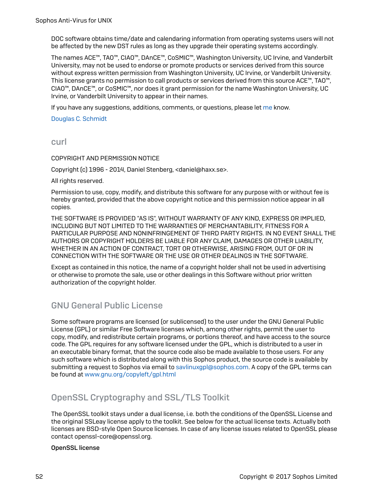DOC software obtains time/date and calendaring information from operating systems users will not be affected by the new DST rules as long as they upgrade their operating systems accordingly.

The names ACE™, TAO™, CIAO™, DAnCE™, CoSMIC™, Washington University, UC Irvine, and Vanderbilt University, may not be used to endorse or promote products or services derived from this source without express written permission from Washington University, UC Irvine, or Vanderbilt University. This license grants no permission to call products or services derived from this source ACE™, TAO™, CIAO™, DAnCE™, or CoSMIC™, nor does it grant permission for the name Washington University, UC Irvine, or Vanderbilt University to appear in their names.

If you have any suggestions, additions, comments, or questions, please let [me](mailto:d.schmidt@vanderbilt.edu) know.

Douglas C. [Schmidt](http://www.dre.vanderbilt.edu/~schmidt/)

curl

COPYRIGHT AND PERMISSION NOTICE

Copyright (c) 1996 - 2014, Daniel Stenberg, <daniel@haxx.se>.

All rights reserved.

Permission to use, copy, modify, and distribute this software for any purpose with or without fee is hereby granted, provided that the above copyright notice and this permission notice appear in all copies.

THE SOFTWARE IS PROVIDED "AS IS", WITHOUT WARRANTY OF ANY KIND, EXPRESS OR IMPLIED, INCLUDING BUT NOT LIMITED TO THE WARRANTIES OF MERCHANTABILITY, FITNESS FOR A PARTICULAR PURPOSE AND NONINFRINGEMENT OF THIRD PARTY RIGHTS. IN NO EVENT SHALL THE AUTHORS OR COPYRIGHT HOLDERS BE LIABLE FOR ANY CLAIM, DAMAGES OR OTHER LIABILITY, WHETHER IN AN ACTION OF CONTRACT, TORT OR OTHERWISE, ARISING FROM, OUT OF OR IN CONNECTION WITH THE SOFTWARE OR THE USE OR OTHER DEALINGS IN THE SOFTWARE.

Except as contained in this notice, the name of a copyright holder shall not be used in advertising or otherwise to promote the sale, use or other dealings in this Software without prior written authorization of the copyright holder.

### GNU General Public License

Some software programs are licensed (or sublicensed) to the user under the GNU General Public License (GPL) or similar Free Software licenses which, among other rights, permit the user to copy, modify, and redistribute certain programs, or portions thereof, and have access to the source code. The GPL requires for any software licensed under the GPL, which is distributed to a user in an executable binary format, that the source code also be made available to those users. For any such software which is distributed along with this Sophos product, the source code is available by submitting a request to Sophos via email to [savlinuxgpl@sophos.com.](mailto:savlinuxgpl@sophos.com) A copy of the GPL terms can be found at [www.gnu.org/copyleft/gpl.html](http://www.gnu.org/copyleft/gpl.html)

### OpenSSL Cryptography and SSL/TLS Toolkit

The OpenSSL toolkit stays under a dual license, i.e. both the conditions of the OpenSSL License and the original SSLeay license apply to the toolkit. See below for the actual license texts. Actually both licenses are BSD-style Open Source licenses. In case of any license issues related to OpenSSL please contact openssl-core@openssl.org.

#### OpenSSL license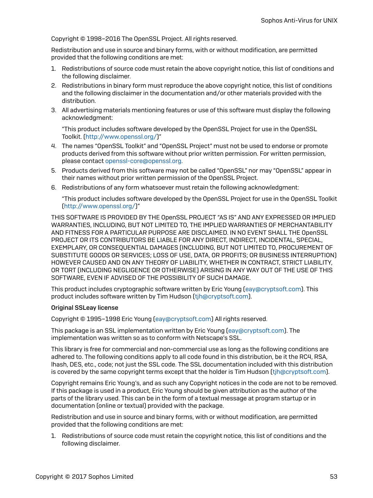Copyright © 1998–2016 The OpenSSL Project. All rights reserved.

Redistribution and use in source and binary forms, with or without modification, are permitted provided that the following conditions are met:

- 1. Redistributions of source code must retain the above copyright notice, this list of conditions and the following disclaimer.
- 2. Redistributions in binary form must reproduce the above copyright notice, this list of conditions and the following disclaimer in the documentation and/or other materials provided with the distribution.
- 3. All advertising materials mentioning features or use of this software must display the following acknowledgment:

"This product includes software developed by the OpenSSL Project for use in the OpenSSL Toolkit. (<http://www.openssl.org/>)"

- 4. The names "OpenSSL Toolkit" and "OpenSSL Project" must not be used to endorse or promote products derived from this software without prior written permission. For written permission, please contact [openssl-core@openssl.org](mailto:openssl-core@openssl.org).
- 5. Products derived from this software may not be called "OpenSSL" nor may "OpenSSL" appear in their names without prior written permission of the OpenSSL Project.
- 6. Redistributions of any form whatsoever must retain the following acknowledgment:

"This product includes software developed by the OpenSSL Project for use in the OpenSSL Toolkit [\(http://www.openssl.org/\)](http://www.openssl.org/)"

THIS SOFTWARE IS PROVIDED BY THE OpenSSL PROJECT "AS IS" AND ANY EXPRESSED OR IMPLIED WARRANTIES, INCLUDING, BUT NOT LIMITED TO, THE IMPLIED WARRANTIES OF MERCHANTABILITY AND FITNESS FOR A PARTICULAR PURPOSE ARE DISCLAIMED. IN NO EVENT SHALL THE OpenSSL PROJECT OR ITS CONTRIBUTORS BE LIABLE FOR ANY DIRECT, INDIRECT, INCIDENTAL, SPECIAL, EXEMPLARY, OR CONSEQUENTIAL DAMAGES (INCLUDING, BUT NOT LIMITED TO, PROCUREMENT OF SUBSTITUTE GOODS OR SERVICES; LOSS OF USE, DATA, OR PROFITS; OR BUSINESS INTERRUPTION) HOWEVER CAUSED AND ON ANY THEORY OF LIABILITY, WHETHER IN CONTRACT, STRICT LIABILITY, OR TORT (INCLUDING NEGLIGENCE OR OTHERWISE) ARISING IN ANY WAY OUT OF THE USE OF THIS SOFTWARE, EVEN IF ADVISED OF THE POSSIBILITY OF SUCH DAMAGE.

This product includes cryptographic software written by Eric Young ([eay@cryptsoft.com\)](mailto:eay@cryptsoft.com). This product includes software written by Tim Hudson [\(tjh@cryptsoft.com](mailto:tjh@cryptsoft.com)).

#### Original SSLeay license

Copyright © 1995–1998 Eric Young [\(eay@cryptsoft.com](mailto:eay@cryptsoft.com)) All rights reserved.

This package is an SSL implementation written by Eric Young [\(eay@cryptsoft.com](mailto:eay@cryptsoft.com)). The implementation was written so as to conform with Netscape's SSL.

This library is free for commercial and non-commercial use as long as the following conditions are adhered to. The following conditions apply to all code found in this distribution, be it the RC4, RSA, lhash, DES, etc., code; not just the SSL code. The SSL documentation included with this distribution is covered by the same copyright terms except that the holder is Tim Hudson (tih@cryptsoft.com).

Copyright remains Eric Young's, and as such any Copyright notices in the code are not to be removed. If this package is used in a product, Eric Young should be given attribution as the author of the parts of the library used. This can be in the form of a textual message at program startup or in documentation (online or textual) provided with the package.

Redistribution and use in source and binary forms, with or without modification, are permitted provided that the following conditions are met:

1. Redistributions of source code must retain the copyright notice, this list of conditions and the following disclaimer.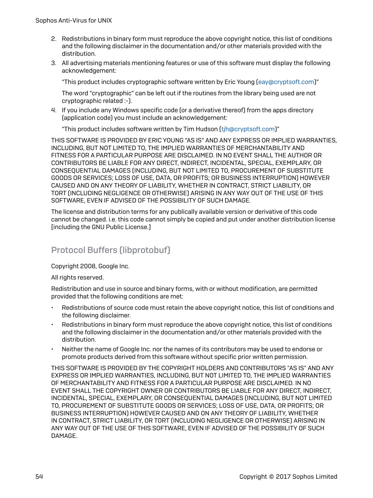- 2. Redistributions in binary form must reproduce the above copyright notice, this list of conditions and the following disclaimer in the documentation and/or other materials provided with the distribution.
- 3. All advertising materials mentioning features or use of this software must display the following acknowledgement:

"This product includes cryptographic software written by Eric Young [\(eay@cryptsoft.com](mailto:eay@cryptsoft.com))"

The word "cryptographic" can be left out if the routines from the library being used are not cryptographic related :-).

4. If you include any Windows specific code (or a derivative thereof) from the apps directory (application code) you must include an acknowledgement:

"This product includes software written by Tim Hudson [\(tjh@cryptsoft.com\)](mailto:tjh@cryptsoft.com)"

THIS SOFTWARE IS PROVIDED BY ERIC YOUNG "AS IS" AND ANY EXPRESS OR IMPLIED WARRANTIES, INCLUDING, BUT NOT LIMITED TO, THE IMPLIED WARRANTIES OF MERCHANTABILITY AND FITNESS FOR A PARTICULAR PURPOSE ARE DISCLAIMED. IN NO EVENT SHALL THE AUTHOR OR CONTRIBUTORS BE LIABLE FOR ANY DIRECT, INDIRECT, INCIDENTAL, SPECIAL, EXEMPLARY, OR CONSEQUENTIAL DAMAGES (INCLUDING, BUT NOT LIMITED TO, PROCUREMENT OF SUBSTITUTE GOODS OR SERVICES; LOSS OF USE, DATA, OR PROFITS; OR BUSINESS INTERRUPTION) HOWEVER CAUSED AND ON ANY THEORY OF LIABILITY, WHETHER IN CONTRACT, STRICT LIABILITY, OR TORT (INCLUDING NEGLIGENCE OR OTHERWISE) ARISING IN ANY WAY OUT OF THE USE OF THIS SOFTWARE, EVEN IF ADVISED OF THE POSSIBILITY OF SUCH DAMAGE.

The license and distribution terms for any publically available version or derivative of this code cannot be changed. i.e. this code cannot simply be copied and put under another distribution license [including the GNU Public License.]

### Protocol Buffers (libprotobuf)

Copyright 2008, Google Inc.

All rights reserved.

Redistribution and use in source and binary forms, with or without modification, are permitted provided that the following conditions are met:

- Redistributions of source code must retain the above copyright notice, this list of conditions and the following disclaimer.
- Redistributions in binary form must reproduce the above copyright notice, this list of conditions and the following disclaimer in the documentation and/or other materials provided with the distribution.
- Neither the name of Google Inc. nor the names of its contributors may be used to endorse or promote products derived from this software without specific prior written permission.

THIS SOFTWARE IS PROVIDED BY THE COPYRIGHT HOLDERS AND CONTRIBUTORS "AS IS" AND ANY EXPRESS OR IMPLIED WARRANTIES, INCLUDING, BUT NOT LIMITED TO, THE IMPLIED WARRANTIES OF MERCHANTABILITY AND FITNESS FOR A PARTICULAR PURPOSE ARE DISCLAIMED. IN NO EVENT SHALL THE COPYRIGHT OWNER OR CONTRIBUTORS BE LIABLE FOR ANY DIRECT, INDIRECT, INCIDENTAL, SPECIAL, EXEMPLARY, OR CONSEQUENTIAL DAMAGES (INCLUDING, BUT NOT LIMITED TO, PROCUREMENT OF SUBSTITUTE GOODS OR SERVICES; LOSS OF USE, DATA, OR PROFITS; OR BUSINESS INTERRUPTION) HOWEVER CAUSED AND ON ANY THEORY OF LIABILITY, WHETHER IN CONTRACT, STRICT LIABILITY, OR TORT (INCLUDING NEGLIGENCE OR OTHERWISE) ARISING IN ANY WAY OUT OF THE USE OF THIS SOFTWARE, EVEN IF ADVISED OF THE POSSIBILITY OF SUCH DAMAGE.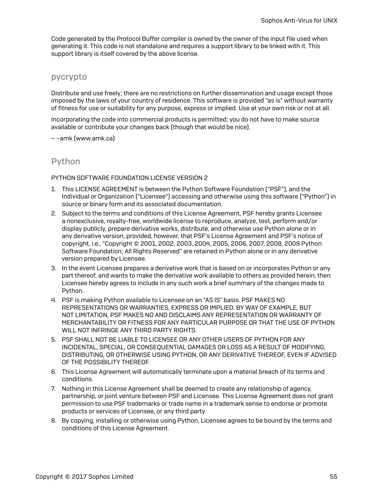Code generated by the Protocol Buffer compiler is owned by the owner of the input file used when generating it. This code is not standalone and requires a support library to be linked with it. This support library is itself covered by the above license.

### pycrypto

Distribute and use freely; there are no restrictions on further dissemination and usage except those imposed by the laws of your country of residence. This software is provided "as is" without warranty of fitness for use or suitability for any purpose, express or implied. Use at your own risk or not at all.

Incorporating the code into commercial products is permitted; you do not have to make source available or contribute your changes back (though that would be nice).

– –amk (www.amk.ca)

### Python

PYTHON SOFTWARE FOUNDATION LICENSE VERSION 2

- 1. This LICENSE AGREEMENT is between the Python Software Foundation ("PSF"), and the Individual or Organization ("Licensee") accessing and otherwise using this software ("Python") in source or binary form and its associated documentation.
- 2. Subject to the terms and conditions of this License Agreement, PSF hereby grants Licensee a nonexclusive, royalty-free, worldwide license to reproduce, analyze, test, perform and/or display publicly, prepare derivative works, distribute, and otherwise use Python alone or in any derivative version, provided, however, that PSF's License Agreement and PSF's notice of copyright, i.e., "Copyright © 2001, 2002, 2003, 2004, 2005, 2006, 2007, 2008, 2009 Python Software Foundation; All Rights Reserved" are retained in Python alone or in any derivative version prepared by Licensee.
- 3. In the event Licensee prepares a derivative work that is based on or incorporates Python or any part thereof, and wants to make the derivative work available to others as provided herein, then Licensee hereby agrees to include in any such work a brief summary of the changes made to Python.
- 4. PSF is making Python available to Licensee on an "AS IS" basis. PSF MAKES NO REPRESENTATIONS OR WARRANTIES, EXPRESS OR IMPLIED. BY WAY OF EXAMPLE, BUT NOT LIMITATION, PSF MAKES NO AND DISCLAIMS ANY REPRESENTATION OR WARRANTY OF MERCHANTABILITY OR FITNESS FOR ANY PARTICULAR PURPOSE OR THAT THE USE OF PYTHON WILL NOT INFRINGE ANY THIRD PARTY RIGHTS.
- 5. PSF SHALL NOT BE LIABLE TO LICENSEE OR ANY OTHER USERS OF PYTHON FOR ANY INCIDENTAL, SPECIAL, OR CONSEQUENTIAL DAMAGES OR LOSS AS A RESULT OF MODIFYING, DISTRIBUTING, OR OTHERWISE USING PYTHON, OR ANY DERIVATIVE THEREOF, EVEN IF ADVISED OF THE POSSIBILITY THEREOF.
- 6. This License Agreement will automatically terminate upon a material breach of its terms and conditions.
- 7. Nothing in this License Agreement shall be deemed to create any relationship of agency, partnership, or joint venture between PSF and Licensee. This License Agreement does not grant permission to use PSF trademarks or trade name in a trademark sense to endorse or promote products or services of Licensee, or any third party.
- 8. By copying, installing or otherwise using Python, Licensee agrees to be bound by the terms and conditions of this License Agreement.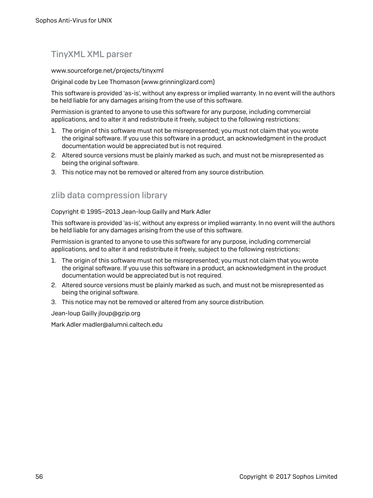## TinyXML XML parser

www.sourceforge.net/projects/tinyxml

Original code by Lee Thomason (www.grinninglizard.com)

This software is provided 'as-is', without any express or implied warranty. In no event will the authors be held liable for any damages arising from the use of this software.

Permission is granted to anyone to use this software for any purpose, including commercial applications, and to alter it and redistribute it freely, subject to the following restrictions:

- 1. The origin of this software must not be misrepresented; you must not claim that you wrote the original software. If you use this software in a product, an acknowledgment in the product documentation would be appreciated but is not required.
- 2. Altered source versions must be plainly marked as such, and must not be misrepresented as being the original software.
- 3. This notice may not be removed or altered from any source distribution.

### zlib data compression library

Copyright © 1995–2013 Jean-loup Gailly and Mark Adler

This software is provided 'as-is', without any express or implied warranty. In no event will the authors be held liable for any damages arising from the use of this software.

Permission is granted to anyone to use this software for any purpose, including commercial applications, and to alter it and redistribute it freely, subject to the following restrictions:

- 1. The origin of this software must not be misrepresented; you must not claim that you wrote the original software. If you use this software in a product, an acknowledgment in the product documentation would be appreciated but is not required.
- 2. Altered source versions must be plainly marked as such, and must not be misrepresented as being the original software.
- 3. This notice may not be removed or altered from any source distribution.

Jean-loup Gailly jloup@gzip.org

Mark Adler madler@alumni.caltech.edu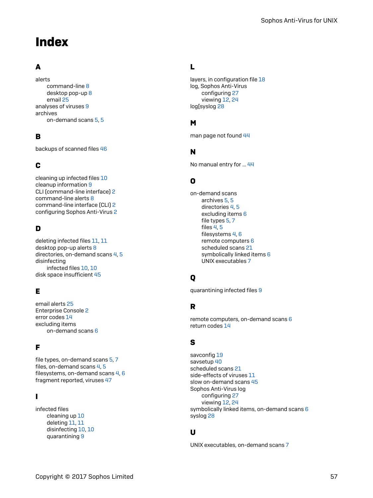# <span id="page-59-0"></span>Index

## A

alerts command-line [8](#page-10-0) desktop pop-up [8](#page-10-0) email [25](#page-27-0) analyses of viruses [9](#page-11-1) archives on-demand scans [5](#page-7-0), [5](#page-7-1)

### B

backups of scanned files [46](#page-48-0)

### C

cleaning up infected files [10](#page-12-0) cleanup information [9](#page-11-1) CLI (command-line interface) [2](#page-4-3) command-line alerts [8](#page-10-0) command-line interface (CLI) [2](#page-4-3) configuring Sophos Anti-Virus [2](#page-4-4)

### D

deleting infected files [11,](#page-13-1) [11](#page-13-2) desktop pop-up alerts [8](#page-10-0) directories, on-demand scans [4,](#page-6-3) [5](#page-7-2) disinfecting infected files [10](#page-12-1), [10](#page-12-2) disk space insufficient [45](#page-47-0)

### E

email alerts [25](#page-27-0) Enterprise Console [2](#page-4-4) error codes [14](#page-16-0) excluding items on-demand scans [6](#page-8-0)

### F

file types, on-demand scans [5,](#page-7-3) [7](#page-9-0) files, on-demand scans [4,](#page-6-3) [5](#page-7-2) filesystems, on-demand scans [4](#page-6-4), [6](#page-8-1) fragment reported, viruses [47](#page-49-1)

### I

infected files cleaning up [10](#page-12-0) deleting [11](#page-13-1), [11](#page-13-2) disinfecting [10,](#page-12-1) [10](#page-12-2) quarantining [9](#page-11-2)

### L

layers, in configuration file [18](#page-20-1) log, Sophos Anti-Virus configuring [27](#page-29-0) viewing [12,](#page-14-0) [24](#page-26-0) log[syslog [28](#page-30-0)

### M

man page not found [44](#page-46-2)

### N

No manual entry for … [44](#page-46-2)

### O

on-demand scans archives [5](#page-7-0), [5](#page-7-1) directories [4,](#page-6-3) [5](#page-7-2) excluding items [6](#page-8-0) file types [5](#page-7-3), [7](#page-9-0) files [4](#page-6-3), [5](#page-7-2) filesystems [4](#page-6-4), [6](#page-8-1) remote computers [6](#page-8-2) scheduled scans [21](#page-23-0) symbolically linked items [6](#page-8-3) UNIX executables [7](#page-9-0)

## Q

quarantining infected files [9](#page-11-2)

### R

remote computers, on-demand scans [6](#page-8-2) return codes [14](#page-16-0)

### S

savconfig [19](#page-21-0) savsetup [40](#page-42-2) scheduled scans [21](#page-23-0) side-effects of viruses [11](#page-13-0) slow on-demand scans [45](#page-47-1) Sophos Anti-Virus log configuring [27](#page-29-0) viewing [12,](#page-14-0) [24](#page-26-0) symbolically linked items, on-demand scans [6](#page-8-3) syslog [28](#page-30-0)

### U

UNIX executables, on-demand scans [7](#page-9-0)